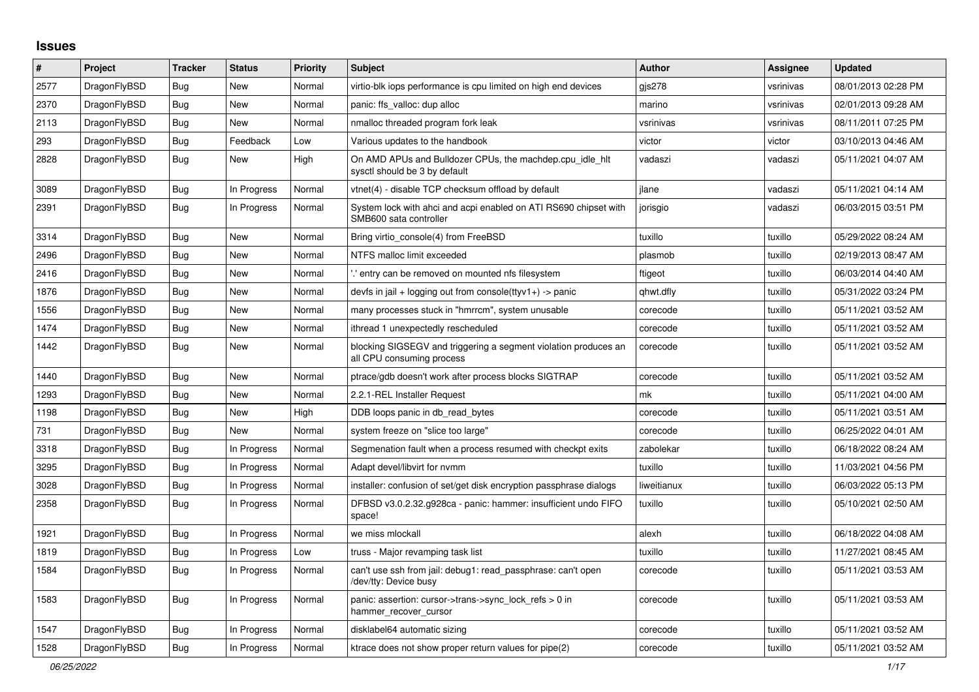## **Issues**

| #    | Project      | <b>Tracker</b> | <b>Status</b> | <b>Priority</b> | <b>Subject</b>                                                                               | <b>Author</b> | Assignee  | <b>Updated</b>      |
|------|--------------|----------------|---------------|-----------------|----------------------------------------------------------------------------------------------|---------------|-----------|---------------------|
| 2577 | DragonFlyBSD | Bug            | New           | Normal          | virtio-blk iops performance is cpu limited on high end devices                               | gis278        | vsrinivas | 08/01/2013 02:28 PM |
| 2370 | DragonFlyBSD | <b>Bug</b>     | New           | Normal          | panic: ffs_valloc: dup alloc                                                                 | marino        | vsrinivas | 02/01/2013 09:28 AM |
| 2113 | DragonFlyBSD | <b>Bug</b>     | New           | Normal          | nmalloc threaded program fork leak                                                           | vsrinivas     | vsrinivas | 08/11/2011 07:25 PM |
| 293  | DragonFlyBSD | Bug            | Feedback      | Low             | Various updates to the handbook                                                              | victor        | victor    | 03/10/2013 04:46 AM |
| 2828 | DragonFlyBSD | <b>Bug</b>     | <b>New</b>    | High            | On AMD APUs and Bulldozer CPUs, the machdep.cpu idle hit<br>sysctl should be 3 by default    | vadaszi       | vadaszi   | 05/11/2021 04:07 AM |
| 3089 | DragonFlyBSD | Bug            | In Progress   | Normal          | vtnet(4) - disable TCP checksum offload by default                                           | ilane         | vadaszi   | 05/11/2021 04:14 AM |
| 2391 | DragonFlyBSD | <b>Bug</b>     | In Progress   | Normal          | System lock with ahci and acpi enabled on ATI RS690 chipset with<br>SMB600 sata controller   | jorisgio      | vadaszi   | 06/03/2015 03:51 PM |
| 3314 | DragonFlyBSD | Bug            | <b>New</b>    | Normal          | Bring virtio console(4) from FreeBSD                                                         | tuxillo       | tuxillo   | 05/29/2022 08:24 AM |
| 2496 | DragonFlyBSD | <b>Bug</b>     | New           | Normal          | NTFS malloc limit exceeded                                                                   | plasmob       | tuxillo   | 02/19/2013 08:47 AM |
| 2416 | DragonFlyBSD | Bug            | New           | Normal          | ".' entry can be removed on mounted nfs filesystem                                           | ftigeot       | tuxillo   | 06/03/2014 04:40 AM |
| 1876 | DragonFlyBSD | Bug            | New           | Normal          | devfs in jail + logging out from console(ttyv1+) -> panic                                    | qhwt.dfly     | tuxillo   | 05/31/2022 03:24 PM |
| 1556 | DragonFlyBSD | <b>Bug</b>     | New           | Normal          | many processes stuck in "hmrrcm", system unusable                                            | corecode      | tuxillo   | 05/11/2021 03:52 AM |
| 1474 | DragonFlyBSD | <b>Bug</b>     | New           | Normal          | ithread 1 unexpectedly rescheduled                                                           | corecode      | tuxillo   | 05/11/2021 03:52 AM |
| 1442 | DragonFlyBSD | Bug            | New           | Normal          | blocking SIGSEGV and triggering a segment violation produces an<br>all CPU consuming process | corecode      | tuxillo   | 05/11/2021 03:52 AM |
| 1440 | DragonFlyBSD | Bug            | New           | Normal          | ptrace/gdb doesn't work after process blocks SIGTRAP                                         | corecode      | tuxillo   | 05/11/2021 03:52 AM |
| 1293 | DragonFlyBSD | Bug            | New           | Normal          | 2.2.1-REL Installer Request                                                                  | mk            | tuxillo   | 05/11/2021 04:00 AM |
| 1198 | DragonFlyBSD | <b>Bug</b>     | New           | High            | DDB loops panic in db read bytes                                                             | corecode      | tuxillo   | 05/11/2021 03:51 AM |
| 731  | DragonFlyBSD | Bug            | <b>New</b>    | Normal          | system freeze on "slice too large"                                                           | corecode      | tuxillo   | 06/25/2022 04:01 AM |
| 3318 | DragonFlyBSD | <b>Bug</b>     | In Progress   | Normal          | Segmenation fault when a process resumed with checkpt exits                                  | zabolekar     | tuxillo   | 06/18/2022 08:24 AM |
| 3295 | DragonFlyBSD | Bug            | In Progress   | Normal          | Adapt devel/libvirt for nvmm                                                                 | tuxillo       | tuxillo   | 11/03/2021 04:56 PM |
| 3028 | DragonFlyBSD | Bug            | In Progress   | Normal          | installer: confusion of set/get disk encryption passphrase dialogs                           | liweitianux   | tuxillo   | 06/03/2022 05:13 PM |
| 2358 | DragonFlyBSD | <b>Bug</b>     | In Progress   | Normal          | DFBSD v3.0.2.32.g928ca - panic: hammer: insufficient undo FIFO<br>space!                     | tuxillo       | tuxillo   | 05/10/2021 02:50 AM |
| 1921 | DragonFlyBSD | <b>Bug</b>     | In Progress   | Normal          | we miss mlockall                                                                             | alexh         | tuxillo   | 06/18/2022 04:08 AM |
| 1819 | DragonFlyBSD | <b>Bug</b>     | In Progress   | Low             | truss - Major revamping task list                                                            | tuxillo       | tuxillo   | 11/27/2021 08:45 AM |
| 1584 | DragonFlyBSD | <b>Bug</b>     | In Progress   | Normal          | can't use ssh from jail: debug1: read passphrase: can't open<br>/dev/tty: Device busy        | corecode      | tuxillo   | 05/11/2021 03:53 AM |
| 1583 | DragonFlyBSD | <b>Bug</b>     | In Progress   | Normal          | panic: assertion: cursor->trans->sync_lock_refs > 0 in<br>hammer_recover_cursor              | corecode      | tuxillo   | 05/11/2021 03:53 AM |
| 1547 | DragonFlyBSD | <b>Bug</b>     | In Progress   | Normal          | disklabel64 automatic sizing                                                                 | corecode      | tuxillo   | 05/11/2021 03:52 AM |
| 1528 | DragonFlyBSD | Bug            | In Progress   | Normal          | ktrace does not show proper return values for pipe(2)                                        | corecode      | tuxillo   | 05/11/2021 03:52 AM |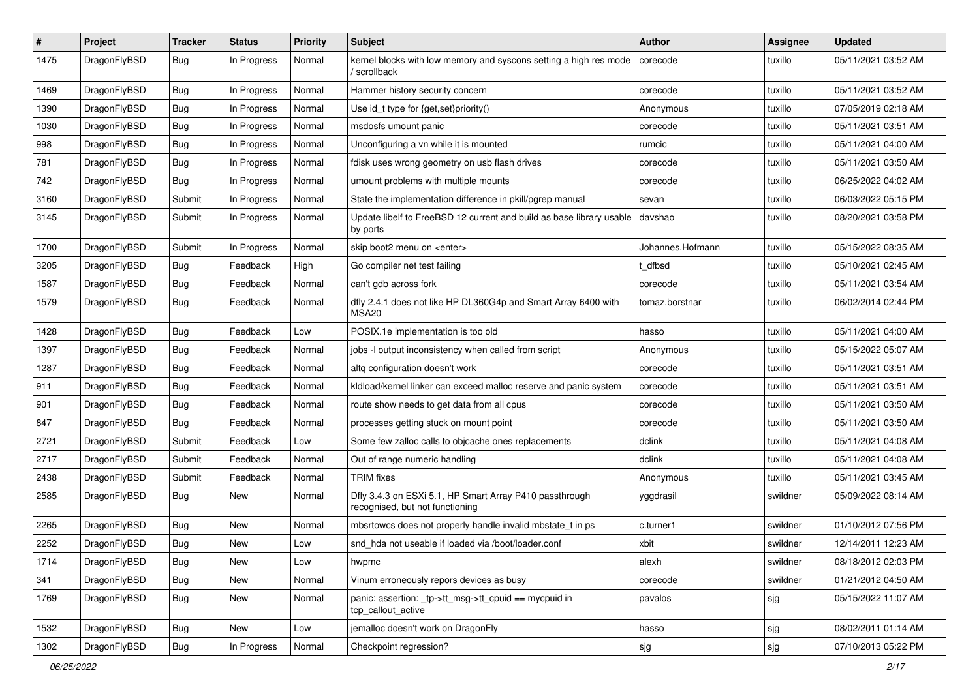| $\sharp$ | Project      | <b>Tracker</b> | <b>Status</b> | <b>Priority</b> | Subject                                                                                    | <b>Author</b>    | Assignee | <b>Updated</b>      |
|----------|--------------|----------------|---------------|-----------------|--------------------------------------------------------------------------------------------|------------------|----------|---------------------|
| 1475     | DragonFlyBSD | Bug            | In Progress   | Normal          | kernel blocks with low memory and syscons setting a high res mode<br>/ scrollback          | corecode         | tuxillo  | 05/11/2021 03:52 AM |
| 1469     | DragonFlyBSD | Bug            | In Progress   | Normal          | Hammer history security concern                                                            | corecode         | tuxillo  | 05/11/2021 03:52 AM |
| 1390     | DragonFlyBSD | <b>Bug</b>     | In Progress   | Normal          | Use id_t type for {get,set}priority()                                                      | Anonymous        | tuxillo  | 07/05/2019 02:18 AM |
| 1030     | DragonFlyBSD | Bug            | In Progress   | Normal          | msdosfs umount panic                                                                       | corecode         | tuxillo  | 05/11/2021 03:51 AM |
| 998      | DragonFlyBSD | <b>Bug</b>     | In Progress   | Normal          | Unconfiguring a vn while it is mounted                                                     | rumcic           | tuxillo  | 05/11/2021 04:00 AM |
| 781      | DragonFlyBSD | <b>Bug</b>     | In Progress   | Normal          | fdisk uses wrong geometry on usb flash drives                                              | corecode         | tuxillo  | 05/11/2021 03:50 AM |
| 742      | DragonFlyBSD | <b>Bug</b>     | In Progress   | Normal          | umount problems with multiple mounts                                                       | corecode         | tuxillo  | 06/25/2022 04:02 AM |
| 3160     | DragonFlyBSD | Submit         | In Progress   | Normal          | State the implementation difference in pkill/pgrep manual                                  | sevan            | tuxillo  | 06/03/2022 05:15 PM |
| 3145     | DragonFlyBSD | Submit         | In Progress   | Normal          | Update libelf to FreeBSD 12 current and build as base library usable<br>by ports           | davshao          | tuxillo  | 08/20/2021 03:58 PM |
| 1700     | DragonFlyBSD | Submit         | In Progress   | Normal          | skip boot2 menu on <enter></enter>                                                         | Johannes.Hofmann | tuxillo  | 05/15/2022 08:35 AM |
| 3205     | DragonFlyBSD | Bug            | Feedback      | High            | Go compiler net test failing                                                               | t dfbsd          | tuxillo  | 05/10/2021 02:45 AM |
| 1587     | DragonFlyBSD | Bug            | Feedback      | Normal          | can't gdb across fork                                                                      | corecode         | tuxillo  | 05/11/2021 03:54 AM |
| 1579     | DragonFlyBSD | Bug            | Feedback      | Normal          | dfly 2.4.1 does not like HP DL360G4p and Smart Array 6400 with<br>MSA20                    | tomaz.borstnar   | tuxillo  | 06/02/2014 02:44 PM |
| 1428     | DragonFlyBSD | Bug            | Feedback      | Low             | POSIX.1e implementation is too old                                                         | hasso            | tuxillo  | 05/11/2021 04:00 AM |
| 1397     | DragonFlyBSD | Bug            | Feedback      | Normal          | jobs -I output inconsistency when called from script                                       | Anonymous        | tuxillo  | 05/15/2022 05:07 AM |
| 1287     | DragonFlyBSD | Bug            | Feedback      | Normal          | altg configuration doesn't work                                                            | corecode         | tuxillo  | 05/11/2021 03:51 AM |
| 911      | DragonFlyBSD | Bug            | Feedback      | Normal          | kidload/kernel linker can exceed malloc reserve and panic system                           | corecode         | tuxillo  | 05/11/2021 03:51 AM |
| 901      | DragonFlyBSD | Bug            | Feedback      | Normal          | route show needs to get data from all cpus                                                 | corecode         | tuxillo  | 05/11/2021 03:50 AM |
| 847      | DragonFlyBSD | Bug            | Feedback      | Normal          | processes getting stuck on mount point                                                     | corecode         | tuxillo  | 05/11/2021 03:50 AM |
| 2721     | DragonFlyBSD | Submit         | Feedback      | Low             | Some few zalloc calls to objcache ones replacements                                        | dclink           | tuxillo  | 05/11/2021 04:08 AM |
| 2717     | DragonFlyBSD | Submit         | Feedback      | Normal          | Out of range numeric handling                                                              | dclink           | tuxillo  | 05/11/2021 04:08 AM |
| 2438     | DragonFlyBSD | Submit         | Feedback      | Normal          | <b>TRIM</b> fixes                                                                          | Anonymous        | tuxillo  | 05/11/2021 03:45 AM |
| 2585     | DragonFlyBSD | Bug            | New           | Normal          | Dfly 3.4.3 on ESXi 5.1, HP Smart Array P410 passthrough<br>recognised, but not functioning | yggdrasil        | swildner | 05/09/2022 08:14 AM |
| 2265     | DragonFlyBSD | Bug            | New           | Normal          | mbsrtowcs does not properly handle invalid mbstate_t in ps                                 | c.turner1        | swildner | 01/10/2012 07:56 PM |
| 2252     | DragonFlyBSD | Bug            | New           | Low             | snd hda not useable if loaded via /boot/loader.conf                                        | xbit             | swildner | 12/14/2011 12:23 AM |
| 1714     | DragonFlyBSD | <b>Bug</b>     | New           | Low             | hwpmc                                                                                      | alexh            | swildner | 08/18/2012 02:03 PM |
| 341      | DragonFlyBSD | <b>Bug</b>     | <b>New</b>    | Normal          | Vinum erroneously repors devices as busy                                                   | corecode         | swildner | 01/21/2012 04:50 AM |
| 1769     | DragonFlyBSD | <b>Bug</b>     | New           | Normal          | panic: assertion: _tp->tt_msg->tt_cpuid == mycpuid in<br>tcp_callout_active                | pavalos          | sjg      | 05/15/2022 11:07 AM |
| 1532     | DragonFlyBSD | <b>Bug</b>     | New           | Low             | jemalloc doesn't work on DragonFly                                                         | hasso            | sjg      | 08/02/2011 01:14 AM |
| 1302     | DragonFlyBSD | <b>Bug</b>     | In Progress   | Normal          | Checkpoint regression?                                                                     | sjg              | sjg      | 07/10/2013 05:22 PM |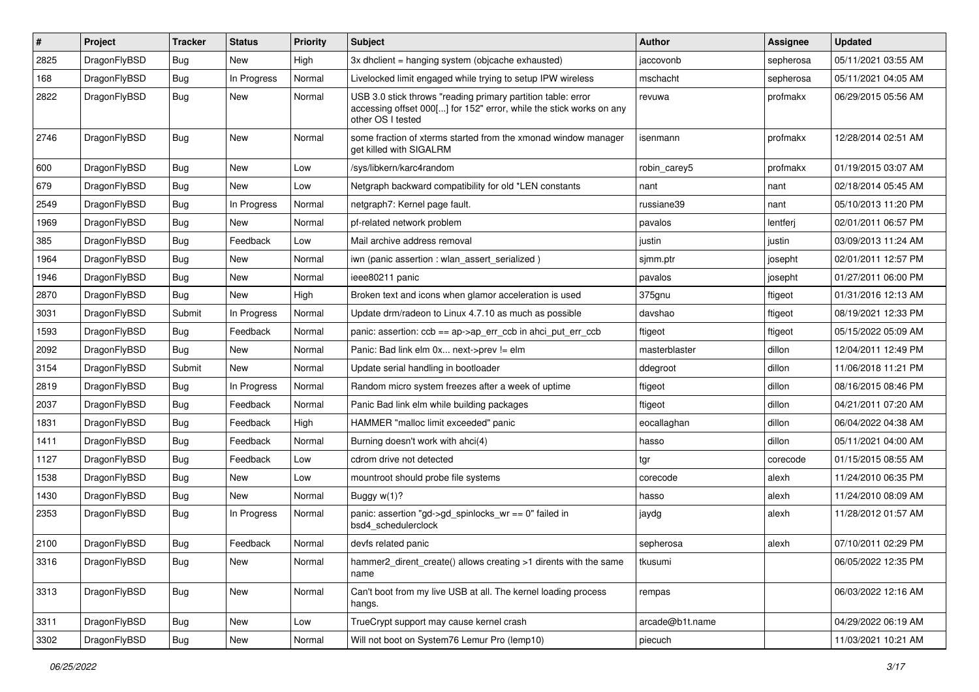| #    | Project      | <b>Tracker</b> | <b>Status</b> | <b>Priority</b> | Subject                                                                                                                                                  | Author          | Assignee  | <b>Updated</b>      |
|------|--------------|----------------|---------------|-----------------|----------------------------------------------------------------------------------------------------------------------------------------------------------|-----------------|-----------|---------------------|
| 2825 | DragonFlyBSD | Bug            | <b>New</b>    | High            | 3x dhclient = hanging system (objcache exhausted)                                                                                                        | jaccovonb       | sepherosa | 05/11/2021 03:55 AM |
| 168  | DragonFlyBSD | Bug            | In Progress   | Normal          | Livelocked limit engaged while trying to setup IPW wireless                                                                                              | mschacht        | sepherosa | 05/11/2021 04:05 AM |
| 2822 | DragonFlyBSD | Bug            | New           | Normal          | USB 3.0 stick throws "reading primary partition table: error<br>accessing offset 000[] for 152" error, while the stick works on any<br>other OS I tested | revuwa          | profmakx  | 06/29/2015 05:56 AM |
| 2746 | DragonFlyBSD | Bug            | New           | Normal          | some fraction of xterms started from the xmonad window manager<br>get killed with SIGALRM                                                                | isenmann        | profmakx  | 12/28/2014 02:51 AM |
| 600  | DragonFlyBSD | Bug            | New           | Low             | /sys/libkern/karc4random                                                                                                                                 | robin_carey5    | profmakx  | 01/19/2015 03:07 AM |
| 679  | DragonFlyBSD | Bug            | <b>New</b>    | Low             | Netgraph backward compatibility for old *LEN constants                                                                                                   | nant            | nant      | 02/18/2014 05:45 AM |
| 2549 | DragonFlyBSD | Bug            | In Progress   | Normal          | netgraph7: Kernel page fault.                                                                                                                            | russiane39      | nant      | 05/10/2013 11:20 PM |
| 1969 | DragonFlyBSD | <b>Bug</b>     | New           | Normal          | pf-related network problem                                                                                                                               | pavalos         | lentferj  | 02/01/2011 06:57 PM |
| 385  | DragonFlyBSD | Bug            | Feedback      | Low             | Mail archive address removal                                                                                                                             | justin          | justin    | 03/09/2013 11:24 AM |
| 1964 | DragonFlyBSD | Bug            | New           | Normal          | iwn (panic assertion : wlan assert serialized)                                                                                                           | sjmm.ptr        | josepht   | 02/01/2011 12:57 PM |
| 1946 | DragonFlyBSD | Bug            | New           | Normal          | ieee80211 panic                                                                                                                                          | pavalos         | josepht   | 01/27/2011 06:00 PM |
| 2870 | DragonFlyBSD | Bug            | <b>New</b>    | High            | Broken text and icons when glamor acceleration is used                                                                                                   | 375gnu          | ftigeot   | 01/31/2016 12:13 AM |
| 3031 | DragonFlyBSD | Submit         | In Progress   | Normal          | Update drm/radeon to Linux 4.7.10 as much as possible                                                                                                    | davshao         | ftigeot   | 08/19/2021 12:33 PM |
| 1593 | DragonFlyBSD | Bug            | Feedback      | Normal          | panic: assertion: $ccb == ap > ap$ err $ccb$ in ahci put err $ccb$                                                                                       | ftigeot         | ftigeot   | 05/15/2022 05:09 AM |
| 2092 | DragonFlyBSD | Bug            | New           | Normal          | Panic: Bad link elm 0x next->prev != elm                                                                                                                 | masterblaster   | dillon    | 12/04/2011 12:49 PM |
| 3154 | DragonFlyBSD | Submit         | New           | Normal          | Update serial handling in bootloader                                                                                                                     | ddegroot        | dillon    | 11/06/2018 11:21 PM |
| 2819 | DragonFlyBSD | Bug            | In Progress   | Normal          | Random micro system freezes after a week of uptime                                                                                                       | ftigeot         | dillon    | 08/16/2015 08:46 PM |
| 2037 | DragonFlyBSD | Bug            | Feedback      | Normal          | Panic Bad link elm while building packages                                                                                                               | ftigeot         | dillon    | 04/21/2011 07:20 AM |
| 1831 | DragonFlyBSD | Bug            | Feedback      | High            | HAMMER "malloc limit exceeded" panic                                                                                                                     | eocallaghan     | dillon    | 06/04/2022 04:38 AM |
| 1411 | DragonFlyBSD | Bug            | Feedback      | Normal          | Burning doesn't work with ahci(4)                                                                                                                        | hasso           | dillon    | 05/11/2021 04:00 AM |
| 1127 | DragonFlyBSD | Bug            | Feedback      | Low             | cdrom drive not detected                                                                                                                                 | tgr             | corecode  | 01/15/2015 08:55 AM |
| 1538 | DragonFlyBSD | Bug            | New           | Low             | mountroot should probe file systems                                                                                                                      | corecode        | alexh     | 11/24/2010 06:35 PM |
| 1430 | DragonFlyBSD | <b>Bug</b>     | New           | Normal          | Buggy w(1)?                                                                                                                                              | hasso           | alexh     | 11/24/2010 08:09 AM |
| 2353 | DragonFlyBSD | Bug            | In Progress   | Normal          | panic: assertion "gd->gd_spinlocks_wr == 0" failed in<br>bsd4_schedulerclock                                                                             | jaydg           | alexh     | 11/28/2012 01:57 AM |
| 2100 | DragonFlyBSD | Bug            | Feedback      | Normal          | devfs related panic                                                                                                                                      | sepherosa       | alexh     | 07/10/2011 02:29 PM |
| 3316 | DragonFlyBSD | <b>Bug</b>     | New           | Normal          | hammer2_dirent_create() allows creating >1 dirents with the same<br>name                                                                                 | tkusumi         |           | 06/05/2022 12:35 PM |
| 3313 | DragonFlyBSD | Bug            | New           | Normal          | Can't boot from my live USB at all. The kernel loading process<br>hangs.                                                                                 | rempas          |           | 06/03/2022 12:16 AM |
| 3311 | DragonFlyBSD | Bug            | <b>New</b>    | Low             | TrueCrypt support may cause kernel crash                                                                                                                 | arcade@b1t.name |           | 04/29/2022 06:19 AM |
| 3302 | DragonFlyBSD | <b>Bug</b>     | New           | Normal          | Will not boot on System76 Lemur Pro (lemp10)                                                                                                             | piecuch         |           | 11/03/2021 10:21 AM |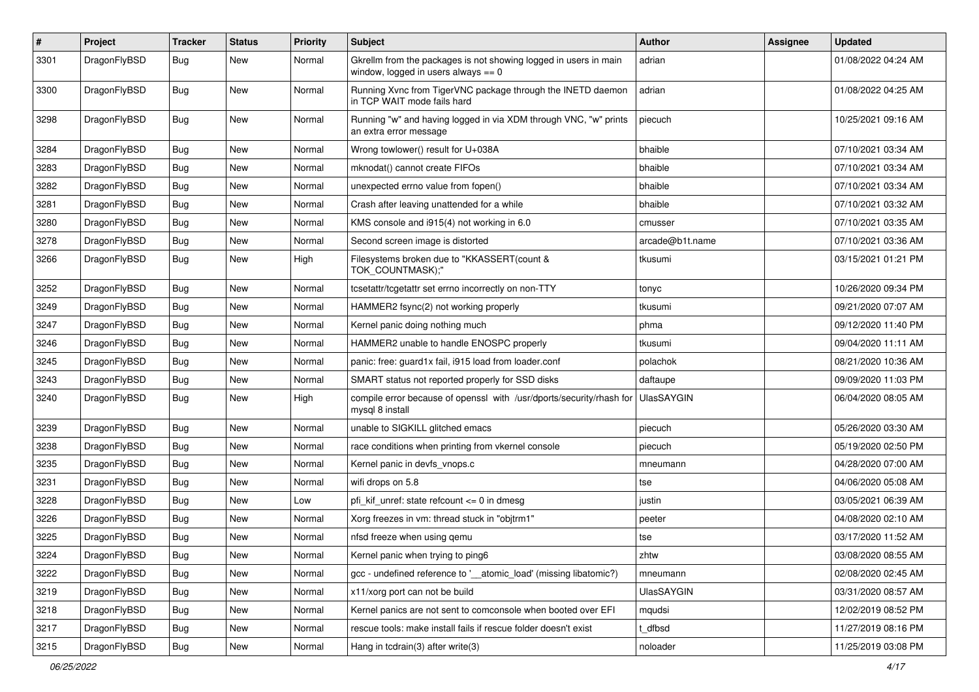| $\sharp$ | Project      | <b>Tracker</b> | <b>Status</b> | <b>Priority</b> | Subject                                                                                                   | <b>Author</b>     | Assignee | <b>Updated</b>      |
|----------|--------------|----------------|---------------|-----------------|-----------------------------------------------------------------------------------------------------------|-------------------|----------|---------------------|
| 3301     | DragonFlyBSD | Bug            | <b>New</b>    | Normal          | Gkrellm from the packages is not showing logged in users in main<br>window, logged in users always $== 0$ | adrian            |          | 01/08/2022 04:24 AM |
| 3300     | DragonFlyBSD | Bug            | <b>New</b>    | Normal          | Running Xvnc from TigerVNC package through the INETD daemon<br>in TCP WAIT mode fails hard                | adrian            |          | 01/08/2022 04:25 AM |
| 3298     | DragonFlyBSD | <b>Bug</b>     | New           | Normal          | Running "w" and having logged in via XDM through VNC, "w" prints<br>an extra error message                | piecuch           |          | 10/25/2021 09:16 AM |
| 3284     | DragonFlyBSD | Bug            | <b>New</b>    | Normal          | Wrong towlower() result for U+038A                                                                        | bhaible           |          | 07/10/2021 03:34 AM |
| 3283     | DragonFlyBSD | Bug            | <b>New</b>    | Normal          | mknodat() cannot create FIFOs                                                                             | bhaible           |          | 07/10/2021 03:34 AM |
| 3282     | DragonFlyBSD | <b>Bug</b>     | New           | Normal          | unexpected errno value from fopen()                                                                       | bhaible           |          | 07/10/2021 03:34 AM |
| 3281     | DragonFlyBSD | <b>Bug</b>     | <b>New</b>    | Normal          | Crash after leaving unattended for a while                                                                | bhaible           |          | 07/10/2021 03:32 AM |
| 3280     | DragonFlyBSD | <b>Bug</b>     | <b>New</b>    | Normal          | KMS console and i915(4) not working in 6.0                                                                | cmusser           |          | 07/10/2021 03:35 AM |
| 3278     | DragonFlyBSD | Bug            | <b>New</b>    | Normal          | Second screen image is distorted                                                                          | arcade@b1t.name   |          | 07/10/2021 03:36 AM |
| 3266     | DragonFlyBSD | <b>Bug</b>     | <b>New</b>    | High            | Filesystems broken due to "KKASSERT(count &<br>TOK_COUNTMASK);"                                           | tkusumi           |          | 03/15/2021 01:21 PM |
| 3252     | DragonFlyBSD | <b>Bug</b>     | <b>New</b>    | Normal          | tcsetattr/tcgetattr set errno incorrectly on non-TTY                                                      | tonyc             |          | 10/26/2020 09:34 PM |
| 3249     | DragonFlyBSD | <b>Bug</b>     | New           | Normal          | HAMMER2 fsync(2) not working properly                                                                     | tkusumi           |          | 09/21/2020 07:07 AM |
| 3247     | DragonFlyBSD | <b>Bug</b>     | New           | Normal          | Kernel panic doing nothing much                                                                           | phma              |          | 09/12/2020 11:40 PM |
| 3246     | DragonFlyBSD | <b>Bug</b>     | <b>New</b>    | Normal          | HAMMER2 unable to handle ENOSPC properly                                                                  | tkusumi           |          | 09/04/2020 11:11 AM |
| 3245     | DragonFlyBSD | <b>Bug</b>     | New           | Normal          | panic: free: quard1x fail, i915 load from loader.conf                                                     | polachok          |          | 08/21/2020 10:36 AM |
| 3243     | DragonFlyBSD | <b>Bug</b>     | New           | Normal          | SMART status not reported properly for SSD disks                                                          | daftaupe          |          | 09/09/2020 11:03 PM |
| 3240     | DragonFlyBSD | <b>Bug</b>     | New           | High            | compile error because of openssl with /usr/dports/security/rhash for<br>mysql 8 install                   | <b>UlasSAYGIN</b> |          | 06/04/2020 08:05 AM |
| 3239     | DragonFlyBSD | <b>Bug</b>     | <b>New</b>    | Normal          | unable to SIGKILL glitched emacs                                                                          | piecuch           |          | 05/26/2020 03:30 AM |
| 3238     | DragonFlyBSD | <b>Bug</b>     | New           | Normal          | race conditions when printing from vkernel console                                                        | piecuch           |          | 05/19/2020 02:50 PM |
| 3235     | DragonFlyBSD | <b>Bug</b>     | <b>New</b>    | Normal          | Kernel panic in devfs_vnops.c                                                                             | mneumann          |          | 04/28/2020 07:00 AM |
| 3231     | DragonFlyBSD | <b>Bug</b>     | <b>New</b>    | Normal          | wifi drops on 5.8                                                                                         | tse               |          | 04/06/2020 05:08 AM |
| 3228     | DragonFlyBSD | <b>Bug</b>     | New           | Low             | pfi kif unref: state refcount $\leq$ 0 in dmesg                                                           | justin            |          | 03/05/2021 06:39 AM |
| 3226     | DragonFlyBSD | <b>Bug</b>     | <b>New</b>    | Normal          | Xorg freezes in vm: thread stuck in "objtrm1"                                                             | peeter            |          | 04/08/2020 02:10 AM |
| 3225     | DragonFlyBSD | <b>Bug</b>     | New           | Normal          | nfsd freeze when using qemu                                                                               | tse               |          | 03/17/2020 11:52 AM |
| 3224     | DragonFlyBSD | <b>Bug</b>     | New           | Normal          | Kernel panic when trying to ping6                                                                         | zhtw              |          | 03/08/2020 08:55 AM |
| 3222     | DragonFlyBSD | <b>Bug</b>     | New           | Normal          | gcc - undefined reference to '__atomic_load' (missing libatomic?)                                         | mneumann          |          | 02/08/2020 02:45 AM |
| 3219     | DragonFlyBSD | <b>Bug</b>     | New           | Normal          | x11/xorg port can not be build                                                                            | <b>UlasSAYGIN</b> |          | 03/31/2020 08:57 AM |
| 3218     | DragonFlyBSD | <b>Bug</b>     | New           | Normal          | Kernel panics are not sent to comconsole when booted over EFI                                             | mqudsi            |          | 12/02/2019 08:52 PM |
| 3217     | DragonFlyBSD | <b>Bug</b>     | New           | Normal          | rescue tools: make install fails if rescue folder doesn't exist                                           | t dfbsd           |          | 11/27/2019 08:16 PM |
| 3215     | DragonFlyBSD | <b>Bug</b>     | New           | Normal          | Hang in tcdrain(3) after write(3)                                                                         | noloader          |          | 11/25/2019 03:08 PM |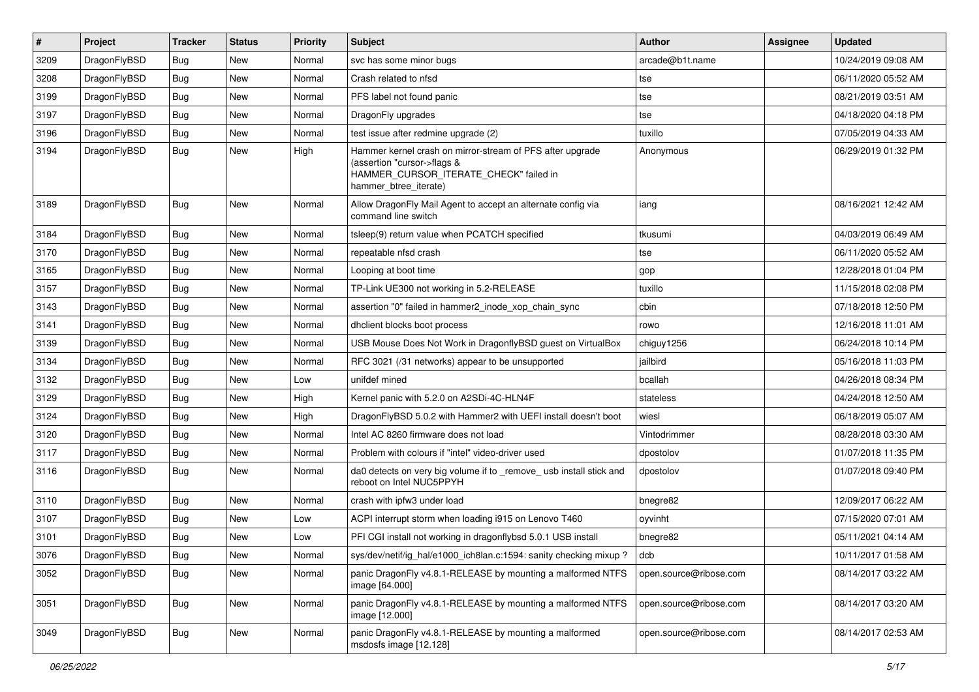| $\pmb{\#}$ | Project      | <b>Tracker</b> | <b>Status</b> | <b>Priority</b> | <b>Subject</b>                                                                                                                                              | <b>Author</b>          | <b>Assignee</b> | <b>Updated</b>      |
|------------|--------------|----------------|---------------|-----------------|-------------------------------------------------------------------------------------------------------------------------------------------------------------|------------------------|-----------------|---------------------|
| 3209       | DragonFlyBSD | Bug            | <b>New</b>    | Normal          | svc has some minor bugs                                                                                                                                     | arcade@b1t.name        |                 | 10/24/2019 09:08 AM |
| 3208       | DragonFlyBSD | Bug            | <b>New</b>    | Normal          | Crash related to nfsd                                                                                                                                       | tse                    |                 | 06/11/2020 05:52 AM |
| 3199       | DragonFlyBSD | <b>Bug</b>     | <b>New</b>    | Normal          | PFS label not found panic                                                                                                                                   | tse                    |                 | 08/21/2019 03:51 AM |
| 3197       | DragonFlyBSD | Bug            | <b>New</b>    | Normal          | DragonFly upgrades                                                                                                                                          | tse                    |                 | 04/18/2020 04:18 PM |
| 3196       | DragonFlyBSD | <b>Bug</b>     | <b>New</b>    | Normal          | test issue after redmine upgrade (2)                                                                                                                        | tuxillo                |                 | 07/05/2019 04:33 AM |
| 3194       | DragonFlyBSD | Bug            | New           | High            | Hammer kernel crash on mirror-stream of PFS after upgrade<br>(assertion "cursor->flags &<br>HAMMER_CURSOR_ITERATE_CHECK" failed in<br>hammer_btree_iterate) | Anonymous              |                 | 06/29/2019 01:32 PM |
| 3189       | DragonFlyBSD | Bug            | New           | Normal          | Allow DragonFly Mail Agent to accept an alternate config via<br>command line switch                                                                         | iang                   |                 | 08/16/2021 12:42 AM |
| 3184       | DragonFlyBSD | Bug            | <b>New</b>    | Normal          | tsleep(9) return value when PCATCH specified                                                                                                                | tkusumi                |                 | 04/03/2019 06:49 AM |
| 3170       | DragonFlyBSD | <b>Bug</b>     | <b>New</b>    | Normal          | repeatable nfsd crash                                                                                                                                       | tse                    |                 | 06/11/2020 05:52 AM |
| 3165       | DragonFlyBSD | <b>Bug</b>     | <b>New</b>    | Normal          | Looping at boot time                                                                                                                                        | gop                    |                 | 12/28/2018 01:04 PM |
| 3157       | DragonFlyBSD | Bug            | <b>New</b>    | Normal          | TP-Link UE300 not working in 5.2-RELEASE                                                                                                                    | tuxillo                |                 | 11/15/2018 02:08 PM |
| 3143       | DragonFlyBSD | <b>Bug</b>     | <b>New</b>    | Normal          | assertion "0" failed in hammer2_inode_xop_chain_sync                                                                                                        | cbin                   |                 | 07/18/2018 12:50 PM |
| 3141       | DragonFlyBSD | Bug            | <b>New</b>    | Normal          | dhclient blocks boot process                                                                                                                                | rowo                   |                 | 12/16/2018 11:01 AM |
| 3139       | DragonFlyBSD | Bug            | <b>New</b>    | Normal          | USB Mouse Does Not Work in DragonflyBSD guest on VirtualBox                                                                                                 | chiguy1256             |                 | 06/24/2018 10:14 PM |
| 3134       | DragonFlyBSD | Bug            | <b>New</b>    | Normal          | RFC 3021 (/31 networks) appear to be unsupported                                                                                                            | jailbird               |                 | 05/16/2018 11:03 PM |
| 3132       | DragonFlyBSD | Bug            | <b>New</b>    | Low             | unifdef mined                                                                                                                                               | bcallah                |                 | 04/26/2018 08:34 PM |
| 3129       | DragonFlyBSD | <b>Bug</b>     | <b>New</b>    | High            | Kernel panic with 5.2.0 on A2SDi-4C-HLN4F                                                                                                                   | stateless              |                 | 04/24/2018 12:50 AM |
| 3124       | DragonFlyBSD | Bug            | New           | High            | DragonFlyBSD 5.0.2 with Hammer2 with UEFI install doesn't boot                                                                                              | wiesl                  |                 | 06/18/2019 05:07 AM |
| 3120       | DragonFlyBSD | <b>Bug</b>     | <b>New</b>    | Normal          | Intel AC 8260 firmware does not load                                                                                                                        | Vintodrimmer           |                 | 08/28/2018 03:30 AM |
| 3117       | DragonFlyBSD | <b>Bug</b>     | <b>New</b>    | Normal          | Problem with colours if "intel" video-driver used                                                                                                           | dpostolov              |                 | 01/07/2018 11:35 PM |
| 3116       | DragonFlyBSD | Bug            | New           | Normal          | da0 detects on very big volume if to _remove_ usb install stick and<br>reboot on Intel NUC5PPYH                                                             | dpostolov              |                 | 01/07/2018 09:40 PM |
| 3110       | DragonFlyBSD | <b>Bug</b>     | <b>New</b>    | Normal          | crash with ipfw3 under load                                                                                                                                 | bnegre82               |                 | 12/09/2017 06:22 AM |
| 3107       | DragonFlyBSD | Bug            | <b>New</b>    | Low             | ACPI interrupt storm when loading i915 on Lenovo T460                                                                                                       | oyvinht                |                 | 07/15/2020 07:01 AM |
| 3101       | DragonFlyBSD | <b>Bug</b>     | New           | Low             | PFI CGI install not working in dragonflybsd 5.0.1 USB install                                                                                               | bnegre82               |                 | 05/11/2021 04:14 AM |
| 3076       | DragonFlyBSD | <b>Bug</b>     | New           | Normal          | sys/dev/netif/ig_hal/e1000_ich8lan.c:1594: sanity checking mixup?                                                                                           | dcb                    |                 | 10/11/2017 01:58 AM |
| 3052       | DragonFlyBSD | <b>Bug</b>     | New           | Normal          | panic DragonFly v4.8.1-RELEASE by mounting a malformed NTFS<br>image [64.000]                                                                               | open.source@ribose.com |                 | 08/14/2017 03:22 AM |
| 3051       | DragonFlyBSD | <b>Bug</b>     | New           | Normal          | panic DragonFly v4.8.1-RELEASE by mounting a malformed NTFS<br>image [12.000]                                                                               | open.source@ribose.com |                 | 08/14/2017 03:20 AM |
| 3049       | DragonFlyBSD | <b>Bug</b>     | New           | Normal          | panic DragonFly v4.8.1-RELEASE by mounting a malformed<br>msdosfs image [12.128]                                                                            | open.source@ribose.com |                 | 08/14/2017 02:53 AM |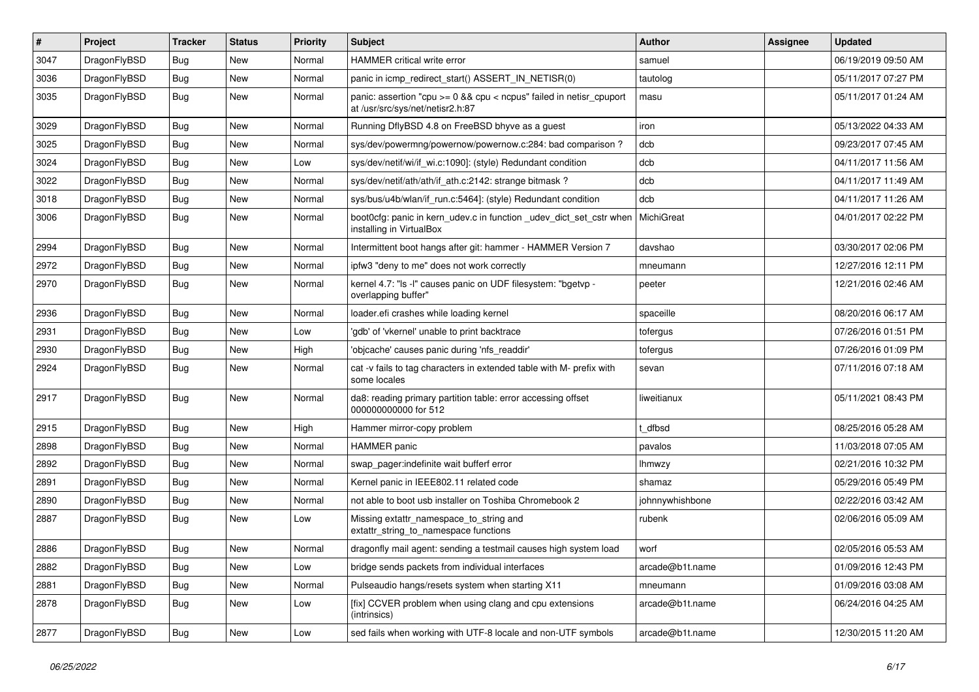| $\sharp$ | Project      | <b>Tracker</b> | <b>Status</b> | <b>Priority</b> | Subject                                                                                                   | Author          | Assignee | <b>Updated</b>      |
|----------|--------------|----------------|---------------|-----------------|-----------------------------------------------------------------------------------------------------------|-----------------|----------|---------------------|
| 3047     | DragonFlyBSD | <b>Bug</b>     | <b>New</b>    | Normal          | HAMMER critical write error                                                                               | samuel          |          | 06/19/2019 09:50 AM |
| 3036     | DragonFlyBSD | <b>Bug</b>     | <b>New</b>    | Normal          | panic in icmp_redirect_start() ASSERT_IN_NETISR(0)                                                        | tautolog        |          | 05/11/2017 07:27 PM |
| 3035     | DragonFlyBSD | Bug            | New           | Normal          | panic: assertion "cpu $>= 0$ && cpu < ncpus" failed in netisr cpuport<br>at /usr/src/sys/net/netisr2.h:87 | masu            |          | 05/11/2017 01:24 AM |
| 3029     | DragonFlyBSD | Bug            | New           | Normal          | Running DflyBSD 4.8 on FreeBSD bhyve as a guest                                                           | iron            |          | 05/13/2022 04:33 AM |
| 3025     | DragonFlyBSD | <b>Bug</b>     | <b>New</b>    | Normal          | sys/dev/powermng/powernow/powernow.c:284: bad comparison?                                                 | dcb             |          | 09/23/2017 07:45 AM |
| 3024     | DragonFlyBSD | Bug            | <b>New</b>    | Low             | sys/dev/netif/wi/if_wi.c:1090]: (style) Redundant condition                                               | dcb             |          | 04/11/2017 11:56 AM |
| 3022     | DragonFlyBSD | <b>Bug</b>     | New           | Normal          | sys/dev/netif/ath/ath/if_ath.c:2142: strange bitmask?                                                     | dcb             |          | 04/11/2017 11:49 AM |
| 3018     | DragonFlyBSD | <b>Bug</b>     | New           | Normal          | sys/bus/u4b/wlan/if_run.c:5464]: (style) Redundant condition                                              | dcb             |          | 04/11/2017 11:26 AM |
| 3006     | DragonFlyBSD | Bug            | <b>New</b>    | Normal          | boot0cfg: panic in kern_udev.c in function _udev_dict_set_cstr when<br>installing in VirtualBox           | MichiGreat      |          | 04/01/2017 02:22 PM |
| 2994     | DragonFlyBSD | Bug            | <b>New</b>    | Normal          | Intermittent boot hangs after git: hammer - HAMMER Version 7                                              | davshao         |          | 03/30/2017 02:06 PM |
| 2972     | DragonFlyBSD | <b>Bug</b>     | New           | Normal          | ipfw3 "deny to me" does not work correctly                                                                | mneumann        |          | 12/27/2016 12:11 PM |
| 2970     | DragonFlyBSD | <b>Bug</b>     | <b>New</b>    | Normal          | kernel 4.7: "Is -I" causes panic on UDF filesystem: "bgetvp -<br>overlapping buffer"                      | peeter          |          | 12/21/2016 02:46 AM |
| 2936     | DragonFlyBSD | Bug            | <b>New</b>    | Normal          | loader.efi crashes while loading kernel                                                                   | spaceille       |          | 08/20/2016 06:17 AM |
| 2931     | DragonFlyBSD | <b>Bug</b>     | New           | Low             | 'gdb' of 'vkernel' unable to print backtrace                                                              | tofergus        |          | 07/26/2016 01:51 PM |
| 2930     | DragonFlyBSD | Bug            | <b>New</b>    | High            | 'objcache' causes panic during 'nfs_readdir'                                                              | tofergus        |          | 07/26/2016 01:09 PM |
| 2924     | DragonFlyBSD | <b>Bug</b>     | New           | Normal          | cat -v fails to tag characters in extended table with M- prefix with<br>some locales                      | sevan           |          | 07/11/2016 07:18 AM |
| 2917     | DragonFlyBSD | <b>Bug</b>     | <b>New</b>    | Normal          | da8: reading primary partition table: error accessing offset<br>000000000000 for 512                      | liweitianux     |          | 05/11/2021 08:43 PM |
| 2915     | DragonFlyBSD | Bug            | New           | High            | Hammer mirror-copy problem                                                                                | dfbsd           |          | 08/25/2016 05:28 AM |
| 2898     | DragonFlyBSD | <b>Bug</b>     | <b>New</b>    | Normal          | <b>HAMMER</b> panic                                                                                       | pavalos         |          | 11/03/2018 07:05 AM |
| 2892     | DragonFlyBSD | <b>Bug</b>     | New           | Normal          | swap pager:indefinite wait bufferf error                                                                  | lhmwzy          |          | 02/21/2016 10:32 PM |
| 2891     | DragonFlyBSD | Bug            | <b>New</b>    | Normal          | Kernel panic in IEEE802.11 related code                                                                   | shamaz          |          | 05/29/2016 05:49 PM |
| 2890     | DragonFlyBSD | <b>Bug</b>     | New           | Normal          | not able to boot usb installer on Toshiba Chromebook 2                                                    | johnnywhishbone |          | 02/22/2016 03:42 AM |
| 2887     | DragonFlyBSD | <b>Bug</b>     | <b>New</b>    | Low             | Missing extattr_namespace_to_string and<br>extattr_string_to_namespace functions                          | rubenk          |          | 02/06/2016 05:09 AM |
| 2886     | DragonFlyBSD | Bug            | <b>New</b>    | Normal          | dragonfly mail agent: sending a testmail causes high system load                                          | worf            |          | 02/05/2016 05:53 AM |
| 2882     | DragonFlyBSD | <b>Bug</b>     | New           | Low             | bridge sends packets from individual interfaces                                                           | arcade@b1t.name |          | 01/09/2016 12:43 PM |
| 2881     | DragonFlyBSD | <b>Bug</b>     | New           | Normal          | Pulseaudio hangs/resets system when starting X11                                                          | mneumann        |          | 01/09/2016 03:08 AM |
| 2878     | DragonFlyBSD | <b>Bug</b>     | New           | Low             | [fix] CCVER problem when using clang and cpu extensions<br>(intrinsics)                                   | arcade@b1t.name |          | 06/24/2016 04:25 AM |
| 2877     | DragonFlyBSD | <b>Bug</b>     | New           | Low             | sed fails when working with UTF-8 locale and non-UTF symbols                                              | arcade@b1t.name |          | 12/30/2015 11:20 AM |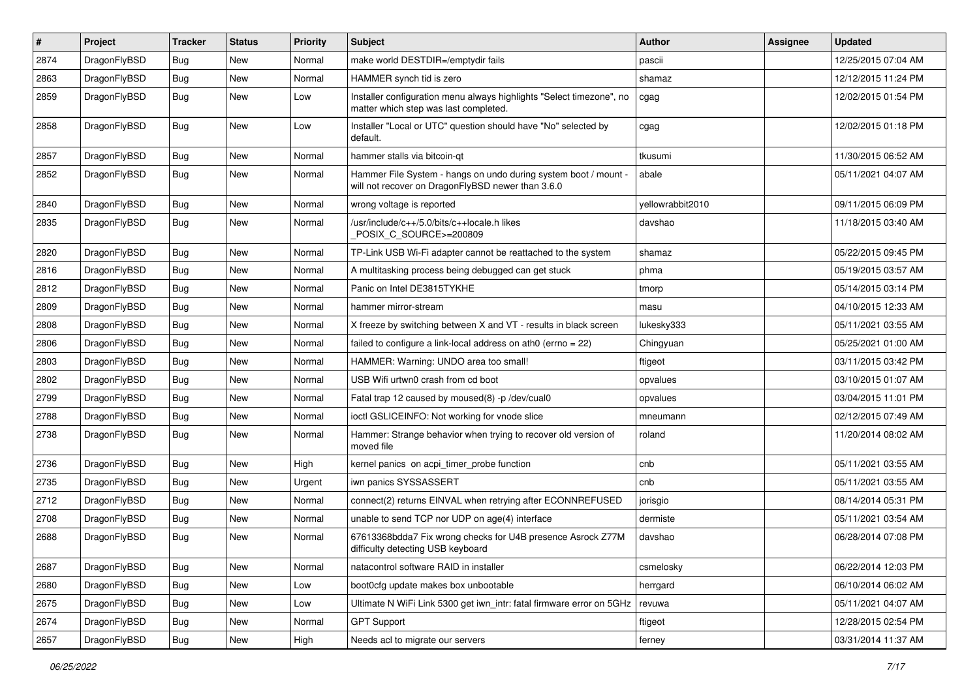| $\pmb{\#}$ | Project      | <b>Tracker</b> | <b>Status</b> | <b>Priority</b> | <b>Subject</b>                                                                                                       | Author           | <b>Assignee</b> | <b>Updated</b>      |
|------------|--------------|----------------|---------------|-----------------|----------------------------------------------------------------------------------------------------------------------|------------------|-----------------|---------------------|
| 2874       | DragonFlyBSD | Bug            | <b>New</b>    | Normal          | make world DESTDIR=/emptydir fails                                                                                   | pascii           |                 | 12/25/2015 07:04 AM |
| 2863       | DragonFlyBSD | <b>Bug</b>     | <b>New</b>    | Normal          | HAMMER synch tid is zero                                                                                             | shamaz           |                 | 12/12/2015 11:24 PM |
| 2859       | DragonFlyBSD | Bug            | New           | Low             | Installer configuration menu always highlights "Select timezone", no<br>matter which step was last completed.        | cgag             |                 | 12/02/2015 01:54 PM |
| 2858       | DragonFlyBSD | <b>Bug</b>     | New           | Low             | Installer "Local or UTC" question should have "No" selected by<br>default.                                           | cgag             |                 | 12/02/2015 01:18 PM |
| 2857       | DragonFlyBSD | Bug            | <b>New</b>    | Normal          | hammer stalls via bitcoin-qt                                                                                         | tkusumi          |                 | 11/30/2015 06:52 AM |
| 2852       | DragonFlyBSD | Bug            | New           | Normal          | Hammer File System - hangs on undo during system boot / mount -<br>will not recover on DragonFlyBSD newer than 3.6.0 | abale            |                 | 05/11/2021 04:07 AM |
| 2840       | DragonFlyBSD | <b>Bug</b>     | <b>New</b>    | Normal          | wrong voltage is reported                                                                                            | yellowrabbit2010 |                 | 09/11/2015 06:09 PM |
| 2835       | DragonFlyBSD | Bug            | New           | Normal          | /usr/include/c++/5.0/bits/c++locale.h likes<br>POSIX_C_SOURCE>=200809                                                | davshao          |                 | 11/18/2015 03:40 AM |
| 2820       | DragonFlyBSD | Bug            | <b>New</b>    | Normal          | TP-Link USB Wi-Fi adapter cannot be reattached to the system                                                         | shamaz           |                 | 05/22/2015 09:45 PM |
| 2816       | DragonFlyBSD | <b>Bug</b>     | New           | Normal          | A multitasking process being debugged can get stuck                                                                  | phma             |                 | 05/19/2015 03:57 AM |
| 2812       | DragonFlyBSD | Bug            | <b>New</b>    | Normal          | Panic on Intel DE3815TYKHE                                                                                           | tmorp            |                 | 05/14/2015 03:14 PM |
| 2809       | DragonFlyBSD | Bug            | New           | Normal          | hammer mirror-stream                                                                                                 | masu             |                 | 04/10/2015 12:33 AM |
| 2808       | DragonFlyBSD | Bug            | <b>New</b>    | Normal          | X freeze by switching between X and VT - results in black screen                                                     | lukesky333       |                 | 05/11/2021 03:55 AM |
| 2806       | DragonFlyBSD | Bug            | <b>New</b>    | Normal          | failed to configure a link-local address on ath $0$ (errno = 22)                                                     | Chingyuan        |                 | 05/25/2021 01:00 AM |
| 2803       | DragonFlyBSD | Bug            | New           | Normal          | HAMMER: Warning: UNDO area too small!                                                                                | ftigeot          |                 | 03/11/2015 03:42 PM |
| 2802       | DragonFlyBSD | Bug            | <b>New</b>    | Normal          | USB Wifi urtwn0 crash from cd boot                                                                                   | opvalues         |                 | 03/10/2015 01:07 AM |
| 2799       | DragonFlyBSD | Bug            | New           | Normal          | Fatal trap 12 caused by moused(8) -p /dev/cual0                                                                      | opvalues         |                 | 03/04/2015 11:01 PM |
| 2788       | DragonFlyBSD | Bug            | New           | Normal          | ioctl GSLICEINFO: Not working for vnode slice                                                                        | mneumann         |                 | 02/12/2015 07:49 AM |
| 2738       | DragonFlyBSD | Bug            | New           | Normal          | Hammer: Strange behavior when trying to recover old version of<br>moved file                                         | roland           |                 | 11/20/2014 08:02 AM |
| 2736       | DragonFlyBSD | Bug            | <b>New</b>    | High            | kernel panics on acpi_timer_probe function                                                                           | cnb              |                 | 05/11/2021 03:55 AM |
| 2735       | DragonFlyBSD | Bug            | <b>New</b>    | Urgent          | iwn panics SYSSASSERT                                                                                                | cnb              |                 | 05/11/2021 03:55 AM |
| 2712       | DragonFlyBSD | Bug            | New           | Normal          | connect(2) returns EINVAL when retrying after ECONNREFUSED                                                           | jorisgio         |                 | 08/14/2014 05:31 PM |
| 2708       | DragonFlyBSD | Bug            | New           | Normal          | unable to send TCP nor UDP on age(4) interface                                                                       | dermiste         |                 | 05/11/2021 03:54 AM |
| 2688       | DragonFlyBSD | Bug            | New           | Normal          | 67613368bdda7 Fix wrong checks for U4B presence Asrock Z77M<br>difficulty detecting USB keyboard                     | davshao          |                 | 06/28/2014 07:08 PM |
| 2687       | DragonFlyBSD | Bug            | New           | Normal          | natacontrol software RAID in installer                                                                               | csmelosky        |                 | 06/22/2014 12:03 PM |
| 2680       | DragonFlyBSD | <b>Bug</b>     | New           | Low             | boot0cfg update makes box unbootable                                                                                 | herrgard         |                 | 06/10/2014 06:02 AM |
| 2675       | DragonFlyBSD | <b>Bug</b>     | New           | Low             | Ultimate N WiFi Link 5300 get iwn_intr: fatal firmware error on 5GHz                                                 | revuwa           |                 | 05/11/2021 04:07 AM |
| 2674       | DragonFlyBSD | Bug            | New           | Normal          | <b>GPT Support</b>                                                                                                   | ftigeot          |                 | 12/28/2015 02:54 PM |
| 2657       | DragonFlyBSD | Bug            | New           | High            | Needs acl to migrate our servers                                                                                     | ferney           |                 | 03/31/2014 11:37 AM |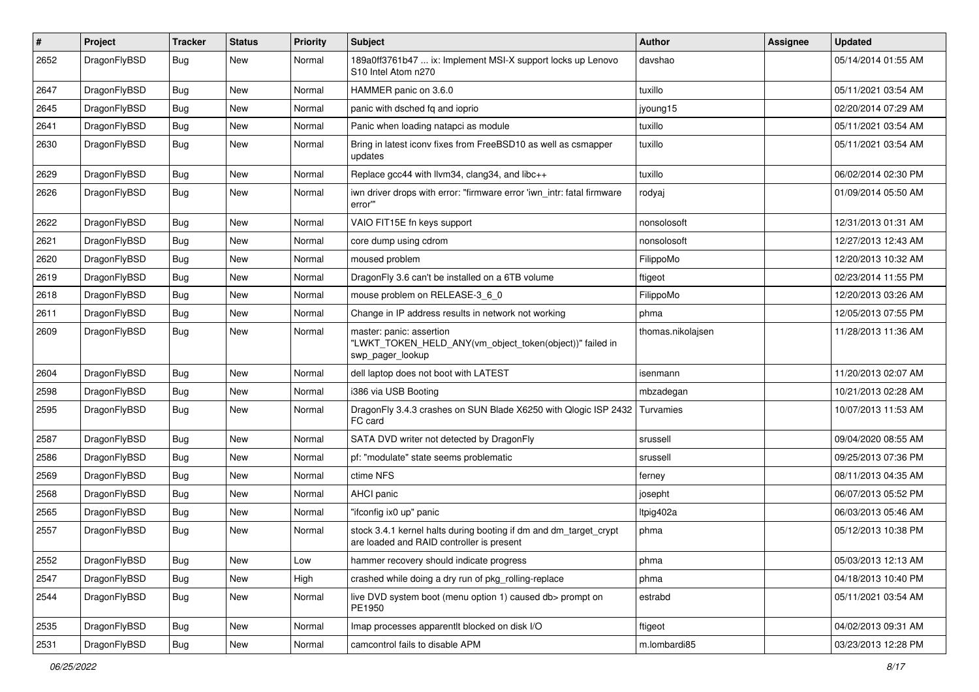| $\sharp$ | Project      | <b>Tracker</b> | <b>Status</b> | <b>Priority</b> | Subject                                                                                                        | <b>Author</b>     | Assignee | <b>Updated</b>      |
|----------|--------------|----------------|---------------|-----------------|----------------------------------------------------------------------------------------------------------------|-------------------|----------|---------------------|
| 2652     | DragonFlyBSD | Bug            | New           | Normal          | 189a0ff3761b47  ix: Implement MSI-X support locks up Lenovo<br>S10 Intel Atom n270                             | davshao           |          | 05/14/2014 01:55 AM |
| 2647     | DragonFlyBSD | Bug            | <b>New</b>    | Normal          | HAMMER panic on 3.6.0                                                                                          | tuxillo           |          | 05/11/2021 03:54 AM |
| 2645     | DragonFlyBSD | <b>Bug</b>     | New           | Normal          | panic with dsched fq and ioprio                                                                                | jyoung15          |          | 02/20/2014 07:29 AM |
| 2641     | DragonFlyBSD | Bug            | <b>New</b>    | Normal          | Panic when loading natapci as module                                                                           | tuxillo           |          | 05/11/2021 03:54 AM |
| 2630     | DragonFlyBSD | <b>Bug</b>     | New           | Normal          | Bring in latest iconv fixes from FreeBSD10 as well as csmapper<br>updates                                      | tuxillo           |          | 05/11/2021 03:54 AM |
| 2629     | DragonFlyBSD | Bug            | <b>New</b>    | Normal          | Replace gcc44 with llvm34, clang34, and libc++                                                                 | tuxillo           |          | 06/02/2014 02:30 PM |
| 2626     | DragonFlyBSD | <b>Bug</b>     | <b>New</b>    | Normal          | iwn driver drops with error: "firmware error 'iwn intr: fatal firmware<br>error"                               | rodyaj            |          | 01/09/2014 05:50 AM |
| 2622     | DragonFlyBSD | Bug            | <b>New</b>    | Normal          | VAIO FIT15E fn keys support                                                                                    | nonsolosoft       |          | 12/31/2013 01:31 AM |
| 2621     | DragonFlyBSD | <b>Bug</b>     | <b>New</b>    | Normal          | core dump using cdrom                                                                                          | nonsolosoft       |          | 12/27/2013 12:43 AM |
| 2620     | DragonFlyBSD | Bug            | <b>New</b>    | Normal          | moused problem                                                                                                 | FilippoMo         |          | 12/20/2013 10:32 AM |
| 2619     | DragonFlyBSD | Bug            | New           | Normal          | Dragon Fly 3.6 can't be installed on a 6TB volume                                                              | ftigeot           |          | 02/23/2014 11:55 PM |
| 2618     | DragonFlyBSD | Bug            | New           | Normal          | mouse problem on RELEASE-3 6 0                                                                                 | FilippoMo         |          | 12/20/2013 03:26 AM |
| 2611     | DragonFlyBSD | Bug            | New           | Normal          | Change in IP address results in network not working                                                            | phma              |          | 12/05/2013 07:55 PM |
| 2609     | DragonFlyBSD | Bug            | New           | Normal          | master: panic: assertion<br>"LWKT_TOKEN_HELD_ANY(vm_object_token(object))" failed in<br>swp_pager_lookup       | thomas.nikolajsen |          | 11/28/2013 11:36 AM |
| 2604     | DragonFlyBSD | <b>Bug</b>     | <b>New</b>    | Normal          | dell laptop does not boot with LATEST                                                                          | isenmann          |          | 11/20/2013 02:07 AM |
| 2598     | DragonFlyBSD | Bug            | <b>New</b>    | Normal          | i386 via USB Booting                                                                                           | mbzadegan         |          | 10/21/2013 02:28 AM |
| 2595     | DragonFlyBSD | Bug            | New           | Normal          | DragonFly 3.4.3 crashes on SUN Blade X6250 with Qlogic ISP 2432<br>FC card                                     | Turvamies         |          | 10/07/2013 11:53 AM |
| 2587     | DragonFlyBSD | Bug            | <b>New</b>    | Normal          | SATA DVD writer not detected by DragonFly                                                                      | srussell          |          | 09/04/2020 08:55 AM |
| 2586     | DragonFlyBSD | Bug            | <b>New</b>    | Normal          | pf: "modulate" state seems problematic                                                                         | srussell          |          | 09/25/2013 07:36 PM |
| 2569     | DragonFlyBSD | Bug            | New           | Normal          | ctime NFS                                                                                                      | ferney            |          | 08/11/2013 04:35 AM |
| 2568     | DragonFlyBSD | Bug            | <b>New</b>    | Normal          | AHCI panic                                                                                                     | josepht           |          | 06/07/2013 05:52 PM |
| 2565     | DragonFlyBSD | Bug            | New           | Normal          | "ifconfig ix0 up" panic                                                                                        | Itpig402a         |          | 06/03/2013 05:46 AM |
| 2557     | DragonFlyBSD | Bug            | New           | Normal          | stock 3.4.1 kernel halts during booting if dm and dm_target_crypt<br>are loaded and RAID controller is present | phma              |          | 05/12/2013 10:38 PM |
| 2552     | DragonFlyBSD | <b>Bug</b>     | New           | Low             | hammer recovery should indicate progress                                                                       | phma              |          | 05/03/2013 12:13 AM |
| 2547     | DragonFlyBSD | <b>Bug</b>     | New           | High            | crashed while doing a dry run of pkg_rolling-replace                                                           | phma              |          | 04/18/2013 10:40 PM |
| 2544     | DragonFlyBSD | Bug            | New           | Normal          | live DVD system boot (menu option 1) caused db> prompt on<br>PE1950                                            | estrabd           |          | 05/11/2021 03:54 AM |
| 2535     | DragonFlyBSD | Bug            | New           | Normal          | Imap processes apparentlt blocked on disk I/O                                                                  | ftigeot           |          | 04/02/2013 09:31 AM |
| 2531     | DragonFlyBSD | <b>Bug</b>     | New           | Normal          | camcontrol fails to disable APM                                                                                | m.lombardi85      |          | 03/23/2013 12:28 PM |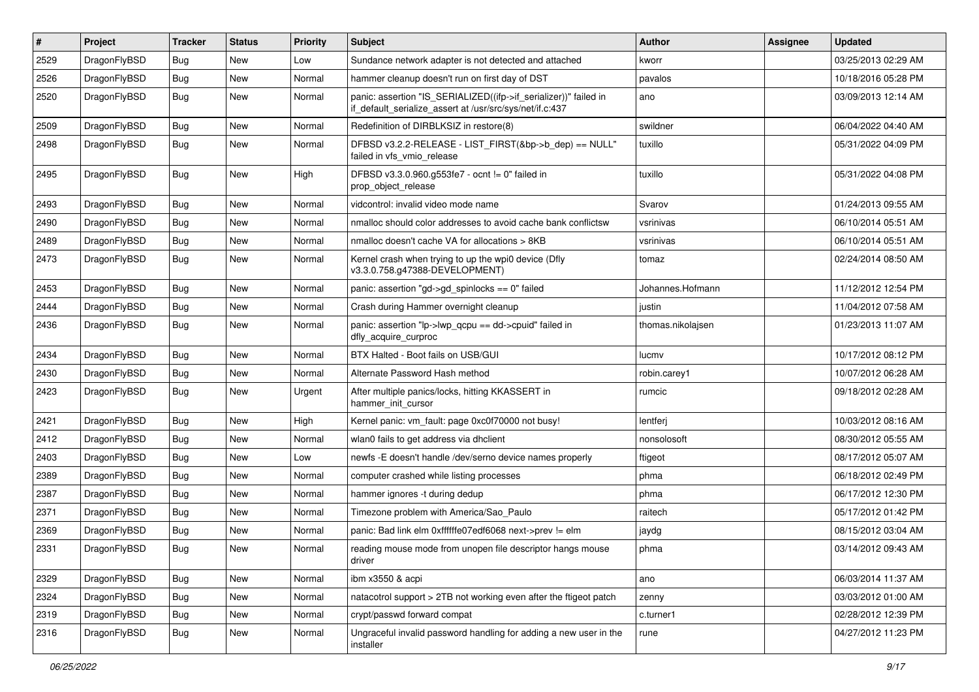| #    | Project      | <b>Tracker</b> | <b>Status</b> | <b>Priority</b> | Subject                                                                                                                      | Author            | <b>Assignee</b> | <b>Updated</b>      |
|------|--------------|----------------|---------------|-----------------|------------------------------------------------------------------------------------------------------------------------------|-------------------|-----------------|---------------------|
| 2529 | DragonFlyBSD | Bug            | <b>New</b>    | Low             | Sundance network adapter is not detected and attached                                                                        | kworr             |                 | 03/25/2013 02:29 AM |
| 2526 | DragonFlyBSD | Bug            | <b>New</b>    | Normal          | hammer cleanup doesn't run on first day of DST                                                                               | pavalos           |                 | 10/18/2016 05:28 PM |
| 2520 | DragonFlyBSD | Bug            | New           | Normal          | panic: assertion "IS_SERIALIZED((ifp->if_serializer))" failed in<br>if_default_serialize_assert at /usr/src/sys/net/if.c:437 | ano               |                 | 03/09/2013 12:14 AM |
| 2509 | DragonFlyBSD | Bug            | <b>New</b>    | Normal          | Redefinition of DIRBLKSIZ in restore(8)                                                                                      | swildner          |                 | 06/04/2022 04:40 AM |
| 2498 | DragonFlyBSD | Bug            | New           | Normal          | DFBSD v3.2.2-RELEASE - LIST_FIRST(&bp->b_dep) == NULL"<br>failed in vfs_vmio_release                                         | tuxillo           |                 | 05/31/2022 04:09 PM |
| 2495 | DragonFlyBSD | Bug            | New           | High            | DFBSD v3.3.0.960.g553fe7 - ocnt != 0" failed in<br>prop_object_release                                                       | tuxillo           |                 | 05/31/2022 04:08 PM |
| 2493 | DragonFlyBSD | <b>Bug</b>     | New           | Normal          | vidcontrol: invalid video mode name                                                                                          | Svarov            |                 | 01/24/2013 09:55 AM |
| 2490 | DragonFlyBSD | <b>Bug</b>     | <b>New</b>    | Normal          | nmalloc should color addresses to avoid cache bank conflictsw                                                                | vsrinivas         |                 | 06/10/2014 05:51 AM |
| 2489 | DragonFlyBSD | Bug            | <b>New</b>    | Normal          | nmalloc doesn't cache VA for allocations > 8KB                                                                               | vsrinivas         |                 | 06/10/2014 05:51 AM |
| 2473 | DragonFlyBSD | Bug            | New           | Normal          | Kernel crash when trying to up the wpi0 device (Dfly<br>v3.3.0.758.g47388-DEVELOPMENT)                                       | tomaz             |                 | 02/24/2014 08:50 AM |
| 2453 | DragonFlyBSD | Bug            | New           | Normal          | panic: assertion "gd->gd_spinlocks == 0" failed                                                                              | Johannes.Hofmann  |                 | 11/12/2012 12:54 PM |
| 2444 | DragonFlyBSD | <b>Bug</b>     | New           | Normal          | Crash during Hammer overnight cleanup                                                                                        | justin            |                 | 11/04/2012 07:58 AM |
| 2436 | DragonFlyBSD | Bug            | New           | Normal          | panic: assertion "lp->lwp_qcpu == dd->cpuid" failed in<br>dfly_acquire_curproc                                               | thomas.nikolajsen |                 | 01/23/2013 11:07 AM |
| 2434 | DragonFlyBSD | Bug            | <b>New</b>    | Normal          | BTX Halted - Boot fails on USB/GUI                                                                                           | lucmv             |                 | 10/17/2012 08:12 PM |
| 2430 | DragonFlyBSD | Bug            | <b>New</b>    | Normal          | Alternate Password Hash method                                                                                               | robin.carey1      |                 | 10/07/2012 06:28 AM |
| 2423 | DragonFlyBSD | Bug            | New           | Urgent          | After multiple panics/locks, hitting KKASSERT in<br>hammer init cursor                                                       | rumcic            |                 | 09/18/2012 02:28 AM |
| 2421 | DragonFlyBSD | Bug            | New           | High            | Kernel panic: vm_fault: page 0xc0f70000 not busy!                                                                            | lentferj          |                 | 10/03/2012 08:16 AM |
| 2412 | DragonFlyBSD | <b>Bug</b>     | New           | Normal          | wlan0 fails to get address via dhclient                                                                                      | nonsolosoft       |                 | 08/30/2012 05:55 AM |
| 2403 | DragonFlyBSD | Bug            | <b>New</b>    | Low             | newfs -E doesn't handle /dev/serno device names properly                                                                     | ftigeot           |                 | 08/17/2012 05:07 AM |
| 2389 | DragonFlyBSD | Bug            | <b>New</b>    | Normal          | computer crashed while listing processes                                                                                     | phma              |                 | 06/18/2012 02:49 PM |
| 2387 | DragonFlyBSD | Bug            | <b>New</b>    | Normal          | hammer ignores -t during dedup                                                                                               | phma              |                 | 06/17/2012 12:30 PM |
| 2371 | DragonFlyBSD | Bug            | <b>New</b>    | Normal          | Timezone problem with America/Sao_Paulo                                                                                      | raitech           |                 | 05/17/2012 01:42 PM |
| 2369 | DragonFlyBSD | <b>Bug</b>     | New           | Normal          | panic: Bad link elm 0xffffffe07edf6068 next->prev != elm                                                                     | jaydg             |                 | 08/15/2012 03:04 AM |
| 2331 | DragonFlyBSD | i Bug          | New           | Normal          | reading mouse mode from unopen file descriptor hangs mouse<br>driver                                                         | phma              |                 | 03/14/2012 09:43 AM |
| 2329 | DragonFlyBSD | <b>Bug</b>     | New           | Normal          | ibm x3550 & acpi                                                                                                             | ano               |                 | 06/03/2014 11:37 AM |
| 2324 | DragonFlyBSD | Bug            | New           | Normal          | natacotrol support > 2TB not working even after the ftigeot patch                                                            | zenny             |                 | 03/03/2012 01:00 AM |
| 2319 | DragonFlyBSD | <b>Bug</b>     | New           | Normal          | crypt/passwd forward compat                                                                                                  | c.turner1         |                 | 02/28/2012 12:39 PM |
| 2316 | DragonFlyBSD | <b>Bug</b>     | New           | Normal          | Ungraceful invalid password handling for adding a new user in the<br>installer                                               | rune              |                 | 04/27/2012 11:23 PM |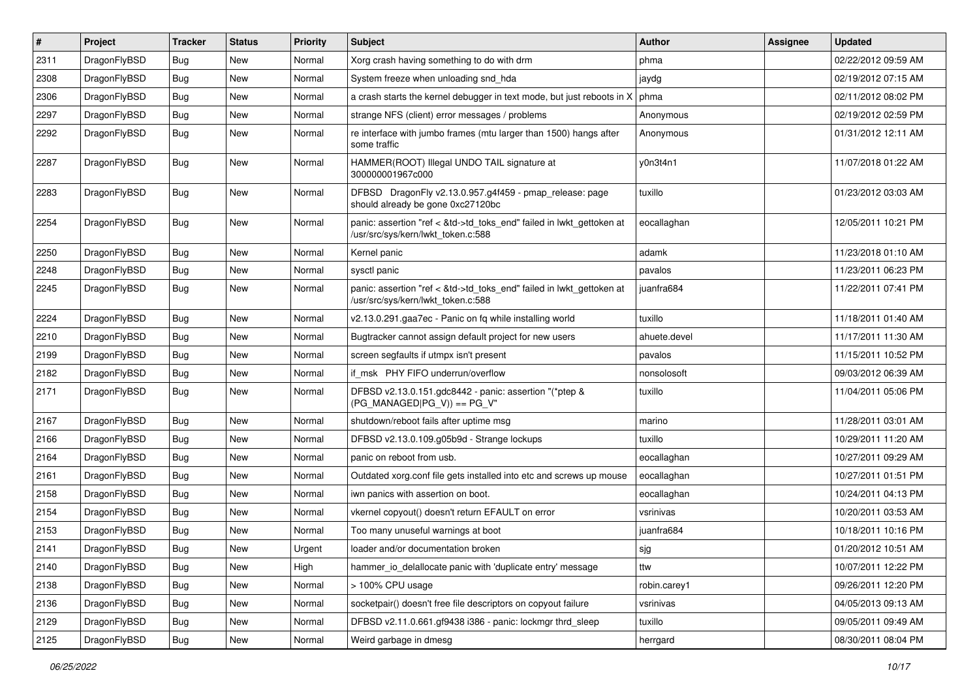| $\#$ | Project      | <b>Tracker</b> | <b>Status</b> | <b>Priority</b> | <b>Subject</b>                                                                                             | <b>Author</b> | Assignee | <b>Updated</b>      |
|------|--------------|----------------|---------------|-----------------|------------------------------------------------------------------------------------------------------------|---------------|----------|---------------------|
| 2311 | DragonFlyBSD | <b>Bug</b>     | <b>New</b>    | Normal          | Xorg crash having something to do with drm                                                                 | phma          |          | 02/22/2012 09:59 AM |
| 2308 | DragonFlyBSD | <b>Bug</b>     | <b>New</b>    | Normal          | System freeze when unloading snd_hda                                                                       | jaydg         |          | 02/19/2012 07:15 AM |
| 2306 | DragonFlyBSD | <b>Bug</b>     | New           | Normal          | a crash starts the kernel debugger in text mode, but just reboots in X                                     | phma          |          | 02/11/2012 08:02 PM |
| 2297 | DragonFlyBSD | Bug            | New           | Normal          | strange NFS (client) error messages / problems                                                             | Anonymous     |          | 02/19/2012 02:59 PM |
| 2292 | DragonFlyBSD | Bug            | New           | Normal          | re interface with jumbo frames (mtu larger than 1500) hangs after<br>some traffic                          | Anonymous     |          | 01/31/2012 12:11 AM |
| 2287 | DragonFlyBSD | Bug            | New           | Normal          | HAMMER(ROOT) Illegal UNDO TAIL signature at<br>300000001967c000                                            | y0n3t4n1      |          | 11/07/2018 01:22 AM |
| 2283 | DragonFlyBSD | Bug            | <b>New</b>    | Normal          | DFBSD DragonFly v2.13.0.957.g4f459 - pmap_release: page<br>should already be gone 0xc27120bc               | tuxillo       |          | 01/23/2012 03:03 AM |
| 2254 | DragonFlyBSD | Bug            | New           | Normal          | panic: assertion "ref < &td->td_toks_end" failed in lwkt_gettoken at<br>/usr/src/sys/kern/lwkt_token.c:588 | eocallaghan   |          | 12/05/2011 10:21 PM |
| 2250 | DragonFlyBSD | Bug            | <b>New</b>    | Normal          | Kernel panic                                                                                               | adamk         |          | 11/23/2018 01:10 AM |
| 2248 | DragonFlyBSD | <b>Bug</b>     | New           | Normal          | sysctl panic                                                                                               | pavalos       |          | 11/23/2011 06:23 PM |
| 2245 | DragonFlyBSD | <b>Bug</b>     | New           | Normal          | panic: assertion "ref < &td->td_toks_end" failed in lwkt_gettoken at<br>/usr/src/sys/kern/lwkt_token.c:588 | juanfra684    |          | 11/22/2011 07:41 PM |
| 2224 | DragonFlyBSD | Bug            | New           | Normal          | v2.13.0.291.gaa7ec - Panic on fg while installing world                                                    | tuxillo       |          | 11/18/2011 01:40 AM |
| 2210 | DragonFlyBSD | <b>Bug</b>     | <b>New</b>    | Normal          | Bugtracker cannot assign default project for new users                                                     | ahuete.devel  |          | 11/17/2011 11:30 AM |
| 2199 | DragonFlyBSD | <b>Bug</b>     | New           | Normal          | screen segfaults if utmpx isn't present                                                                    | pavalos       |          | 11/15/2011 10:52 PM |
| 2182 | DragonFlyBSD | Bug            | New           | Normal          | if msk PHY FIFO underrun/overflow                                                                          | nonsolosoft   |          | 09/03/2012 06:39 AM |
| 2171 | DragonFlyBSD | Bug            | New           | Normal          | DFBSD v2.13.0.151.gdc8442 - panic: assertion "(*ptep &<br>$(PG$ MANAGED PG_V)) == PG_V"                    | tuxillo       |          | 11/04/2011 05:06 PM |
| 2167 | DragonFlyBSD | <b>Bug</b>     | New           | Normal          | shutdown/reboot fails after uptime msg                                                                     | marino        |          | 11/28/2011 03:01 AM |
| 2166 | DragonFlyBSD | Bug            | New           | Normal          | DFBSD v2.13.0.109.g05b9d - Strange lockups                                                                 | tuxillo       |          | 10/29/2011 11:20 AM |
| 2164 | DragonFlyBSD | <b>Bug</b>     | New           | Normal          | panic on reboot from usb.                                                                                  | eocallaghan   |          | 10/27/2011 09:29 AM |
| 2161 | DragonFlyBSD | <b>Bug</b>     | New           | Normal          | Outdated xorg.conf file gets installed into etc and screws up mouse                                        | eocallaghan   |          | 10/27/2011 01:51 PM |
| 2158 | DragonFlyBSD | Bug            | New           | Normal          | iwn panics with assertion on boot.                                                                         | eocallaghan   |          | 10/24/2011 04:13 PM |
| 2154 | DragonFlyBSD | Bug            | New           | Normal          | vkernel copyout() doesn't return EFAULT on error                                                           | vsrinivas     |          | 10/20/2011 03:53 AM |
| 2153 | DragonFlyBSD | <b>Bug</b>     | New           | Normal          | Too many unuseful warnings at boot                                                                         | juanfra684    |          | 10/18/2011 10:16 PM |
| 2141 | DragonFlyBSD | Bug            | New           | Urgent          | loader and/or documentation broken                                                                         | sjg           |          | 01/20/2012 10:51 AM |
| 2140 | DragonFlyBSD | <b>Bug</b>     | New           | High            | hammer_io_delallocate panic with 'duplicate entry' message                                                 | ttw           |          | 10/07/2011 12:22 PM |
| 2138 | DragonFlyBSD | <b>Bug</b>     | New           | Normal          | > 100% CPU usage                                                                                           | robin.carey1  |          | 09/26/2011 12:20 PM |
| 2136 | DragonFlyBSD | <b>Bug</b>     | New           | Normal          | socketpair() doesn't free file descriptors on copyout failure                                              | vsrinivas     |          | 04/05/2013 09:13 AM |
| 2129 | DragonFlyBSD | <b>Bug</b>     | New           | Normal          | DFBSD v2.11.0.661.gf9438 i386 - panic: lockmgr thrd_sleep                                                  | tuxillo       |          | 09/05/2011 09:49 AM |
| 2125 | DragonFlyBSD | Bug            | New           | Normal          | Weird garbage in dmesg                                                                                     | herrgard      |          | 08/30/2011 08:04 PM |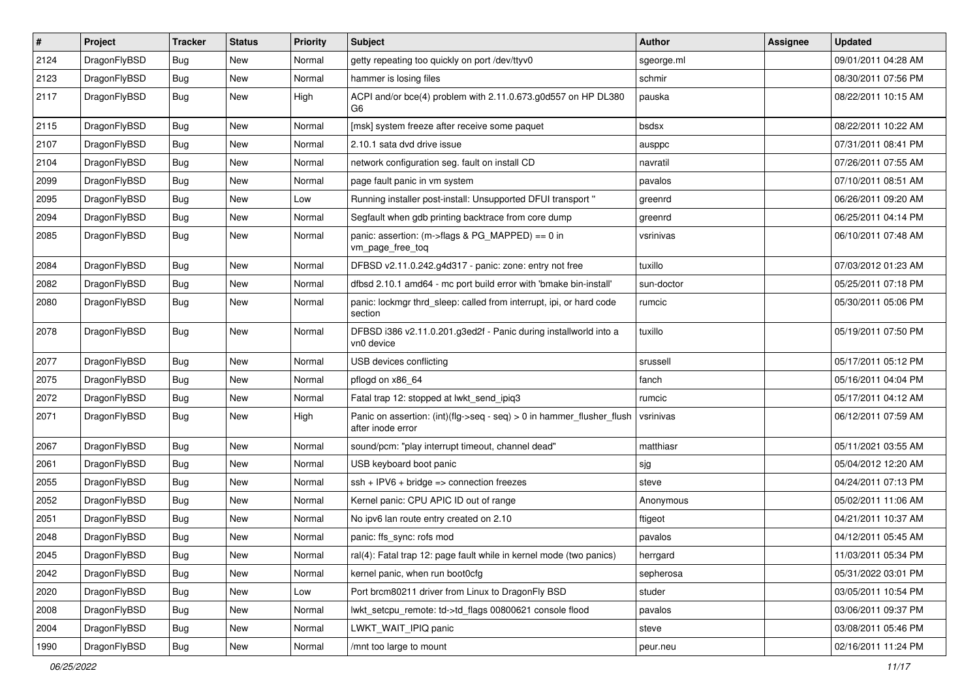| $\pmb{\#}$ | Project      | <b>Tracker</b> | <b>Status</b> | <b>Priority</b> | <b>Subject</b>                                                                             | Author     | Assignee | <b>Updated</b>      |
|------------|--------------|----------------|---------------|-----------------|--------------------------------------------------------------------------------------------|------------|----------|---------------------|
| 2124       | DragonFlyBSD | Bug            | New           | Normal          | getty repeating too quickly on port /dev/ttyv0                                             | sgeorge.ml |          | 09/01/2011 04:28 AM |
| 2123       | DragonFlyBSD | Bug            | <b>New</b>    | Normal          | hammer is losing files                                                                     | schmir     |          | 08/30/2011 07:56 PM |
| 2117       | DragonFlyBSD | Bug            | New           | High            | ACPI and/or bce(4) problem with 2.11.0.673.g0d557 on HP DL380<br>G6                        | pauska     |          | 08/22/2011 10:15 AM |
| 2115       | DragonFlyBSD | Bug            | <b>New</b>    | Normal          | [msk] system freeze after receive some paquet                                              | bsdsx      |          | 08/22/2011 10:22 AM |
| 2107       | DragonFlyBSD | <b>Bug</b>     | New           | Normal          | 2.10.1 sata dvd drive issue                                                                | ausppc     |          | 07/31/2011 08:41 PM |
| 2104       | DragonFlyBSD | Bug            | New           | Normal          | network configuration seg. fault on install CD                                             | navratil   |          | 07/26/2011 07:55 AM |
| 2099       | DragonFlyBSD | Bug            | New           | Normal          | page fault panic in vm system                                                              | pavalos    |          | 07/10/2011 08:51 AM |
| 2095       | DragonFlyBSD | Bug            | New           | Low             | Running installer post-install: Unsupported DFUI transport "                               | greenrd    |          | 06/26/2011 09:20 AM |
| 2094       | DragonFlyBSD | Bug            | <b>New</b>    | Normal          | Segfault when gdb printing backtrace from core dump                                        | greenrd    |          | 06/25/2011 04:14 PM |
| 2085       | DragonFlyBSD | Bug            | New           | Normal          | panic: assertion: (m->flags & PG_MAPPED) == 0 in<br>vm_page_free_toq                       | vsrinivas  |          | 06/10/2011 07:48 AM |
| 2084       | DragonFlyBSD | <b>Bug</b>     | <b>New</b>    | Normal          | DFBSD v2.11.0.242.g4d317 - panic: zone: entry not free                                     | tuxillo    |          | 07/03/2012 01:23 AM |
| 2082       | DragonFlyBSD | <b>Bug</b>     | New           | Normal          | dfbsd 2.10.1 amd64 - mc port build error with 'bmake bin-install'                          | sun-doctor |          | 05/25/2011 07:18 PM |
| 2080       | DragonFlyBSD | Bug            | New           | Normal          | panic: lockmgr thrd_sleep: called from interrupt, ipi, or hard code<br>section             | rumcic     |          | 05/30/2011 05:06 PM |
| 2078       | DragonFlyBSD | Bug            | <b>New</b>    | Normal          | DFBSD i386 v2.11.0.201.g3ed2f - Panic during installworld into a<br>vn0 device             | tuxillo    |          | 05/19/2011 07:50 PM |
| 2077       | DragonFlyBSD | Bug            | <b>New</b>    | Normal          | USB devices conflicting                                                                    | srussell   |          | 05/17/2011 05:12 PM |
| 2075       | DragonFlyBSD | Bug            | New           | Normal          | pflogd on x86 64                                                                           | fanch      |          | 05/16/2011 04:04 PM |
| 2072       | DragonFlyBSD | <b>Bug</b>     | <b>New</b>    | Normal          | Fatal trap 12: stopped at lwkt_send_ipiq3                                                  | rumcic     |          | 05/17/2011 04:12 AM |
| 2071       | DragonFlyBSD | Bug            | New           | High            | Panic on assertion: (int)(flg->seq - seq) > 0 in hammer_flusher_flush<br>after inode error | vsrinivas  |          | 06/12/2011 07:59 AM |
| 2067       | DragonFlyBSD | <b>Bug</b>     | <b>New</b>    | Normal          | sound/pcm: "play interrupt timeout, channel dead"                                          | matthiasr  |          | 05/11/2021 03:55 AM |
| 2061       | DragonFlyBSD | Bug            | <b>New</b>    | Normal          | USB keyboard boot panic                                                                    | sjg        |          | 05/04/2012 12:20 AM |
| 2055       | DragonFlyBSD | Bug            | <b>New</b>    | Normal          | $ssh + IPV6 + bridge \Rightarrow connection freezes$                                       | steve      |          | 04/24/2011 07:13 PM |
| 2052       | DragonFlyBSD | Bug            | New           | Normal          | Kernel panic: CPU APIC ID out of range                                                     | Anonymous  |          | 05/02/2011 11:06 AM |
| 2051       | DragonFlyBSD | Bug            | New           | Normal          | No ipv6 lan route entry created on 2.10                                                    | ftigeot    |          | 04/21/2011 10:37 AM |
| 2048       | DragonFlyBSD | Bug            | New           | Normal          | panic: ffs_sync: rofs mod                                                                  | pavalos    |          | 04/12/2011 05:45 AM |
| 2045       | DragonFlyBSD | <b>Bug</b>     | New           | Normal          | ral(4): Fatal trap 12: page fault while in kernel mode (two panics)                        | herrgard   |          | 11/03/2011 05:34 PM |
| 2042       | DragonFlyBSD | Bug            | New           | Normal          | kernel panic, when run boot0cfg                                                            | sepherosa  |          | 05/31/2022 03:01 PM |
| 2020       | DragonFlyBSD | <b>Bug</b>     | New           | Low             | Port brcm80211 driver from Linux to DragonFly BSD                                          | studer     |          | 03/05/2011 10:54 PM |
| 2008       | DragonFlyBSD | Bug            | New           | Normal          | lwkt setcpu remote: td->td flags 00800621 console flood                                    | pavalos    |          | 03/06/2011 09:37 PM |
| 2004       | DragonFlyBSD | <b>Bug</b>     | New           | Normal          | LWKT_WAIT_IPIQ panic                                                                       | steve      |          | 03/08/2011 05:46 PM |
| 1990       | DragonFlyBSD | <b>Bug</b>     | New           | Normal          | /mnt too large to mount                                                                    | peur.neu   |          | 02/16/2011 11:24 PM |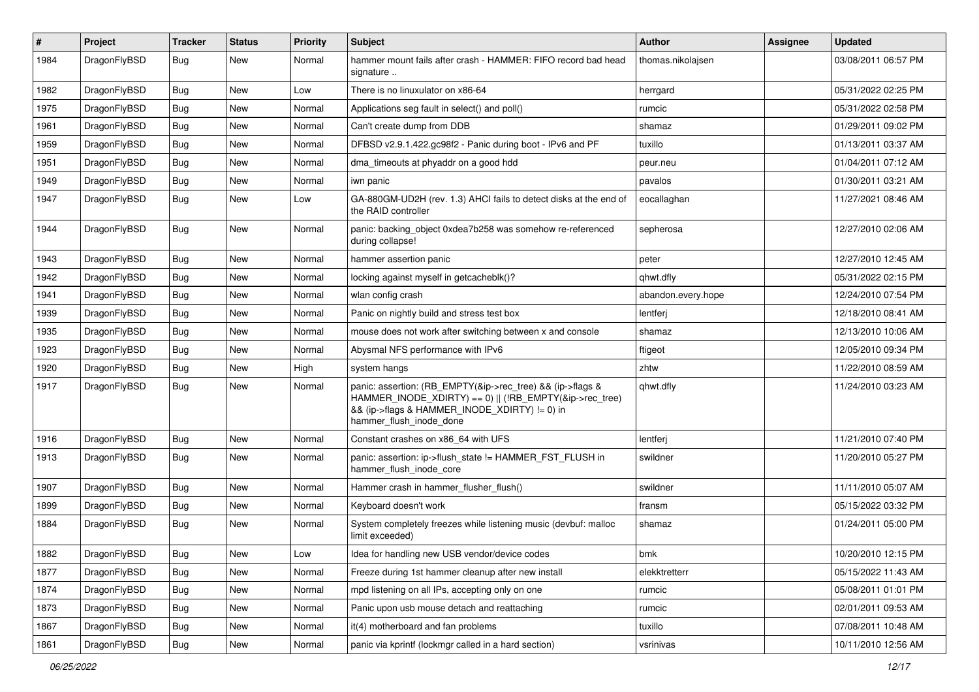| $\sharp$ | Project      | <b>Tracker</b> | <b>Status</b> | <b>Priority</b> | <b>Subject</b>                                                                                                                                                                                    | Author             | Assignee | <b>Updated</b>      |
|----------|--------------|----------------|---------------|-----------------|---------------------------------------------------------------------------------------------------------------------------------------------------------------------------------------------------|--------------------|----------|---------------------|
| 1984     | DragonFlyBSD | Bug            | New           | Normal          | hammer mount fails after crash - HAMMER: FIFO record bad head<br>signature                                                                                                                        | thomas.nikolajsen  |          | 03/08/2011 06:57 PM |
| 1982     | DragonFlyBSD | <b>Bug</b>     | New           | Low             | There is no linuxulator on x86-64                                                                                                                                                                 | herrgard           |          | 05/31/2022 02:25 PM |
| 1975     | DragonFlyBSD | Bug            | New           | Normal          | Applications seg fault in select() and poll()                                                                                                                                                     | rumcic             |          | 05/31/2022 02:58 PM |
| 1961     | DragonFlyBSD | <b>Bug</b>     | New           | Normal          | Can't create dump from DDB                                                                                                                                                                        | shamaz             |          | 01/29/2011 09:02 PM |
| 1959     | DragonFlyBSD | <b>Bug</b>     | New           | Normal          | DFBSD v2.9.1.422.gc98f2 - Panic during boot - IPv6 and PF                                                                                                                                         | tuxillo            |          | 01/13/2011 03:37 AM |
| 1951     | DragonFlyBSD | Bug            | New           | Normal          | dma_timeouts at phyaddr on a good hdd                                                                                                                                                             | peur.neu           |          | 01/04/2011 07:12 AM |
| 1949     | DragonFlyBSD | <b>Bug</b>     | New           | Normal          | iwn panic                                                                                                                                                                                         | pavalos            |          | 01/30/2011 03:21 AM |
| 1947     | DragonFlyBSD | Bug            | New           | Low             | GA-880GM-UD2H (rev. 1.3) AHCI fails to detect disks at the end of<br>the RAID controller                                                                                                          | eocallaghan        |          | 11/27/2021 08:46 AM |
| 1944     | DragonFlyBSD | Bug            | <b>New</b>    | Normal          | panic: backing_object 0xdea7b258 was somehow re-referenced<br>during collapse!                                                                                                                    | sepherosa          |          | 12/27/2010 02:06 AM |
| 1943     | DragonFlyBSD | <b>Bug</b>     | New           | Normal          | hammer assertion panic                                                                                                                                                                            | peter              |          | 12/27/2010 12:45 AM |
| 1942     | DragonFlyBSD | Bug            | New           | Normal          | locking against myself in getcacheblk()?                                                                                                                                                          | qhwt.dfly          |          | 05/31/2022 02:15 PM |
| 1941     | DragonFlyBSD | Bug            | New           | Normal          | wlan config crash                                                                                                                                                                                 | abandon.every.hope |          | 12/24/2010 07:54 PM |
| 1939     | DragonFlyBSD | Bug            | New           | Normal          | Panic on nightly build and stress test box                                                                                                                                                        | lentferj           |          | 12/18/2010 08:41 AM |
| 1935     | DragonFlyBSD | Bug            | New           | Normal          | mouse does not work after switching between x and console                                                                                                                                         | shamaz             |          | 12/13/2010 10:06 AM |
| 1923     | DragonFlyBSD | <b>Bug</b>     | New           | Normal          | Abysmal NFS performance with IPv6                                                                                                                                                                 | ftigeot            |          | 12/05/2010 09:34 PM |
| 1920     | DragonFlyBSD | <b>Bug</b>     | New           | High            | system hangs                                                                                                                                                                                      | zhtw               |          | 11/22/2010 08:59 AM |
| 1917     | DragonFlyBSD | Bug            | New           | Normal          | panic: assertion: (RB_EMPTY(&ip->rec_tree) && (ip->flags &<br>HAMMER_INODE_XDIRTY) == 0)    (!RB_EMPTY(&ip->rec_tree)<br>&& (ip->flags & HAMMER_INODE_XDIRTY) != 0) in<br>hammer_flush_inode_done | qhwt.dfly          |          | 11/24/2010 03:23 AM |
| 1916     | DragonFlyBSD | <b>Bug</b>     | New           | Normal          | Constant crashes on x86_64 with UFS                                                                                                                                                               | lentferj           |          | 11/21/2010 07:40 PM |
| 1913     | DragonFlyBSD | <b>Bug</b>     | New           | Normal          | panic: assertion: ip->flush_state != HAMMER_FST_FLUSH in<br>hammer_flush_inode_core                                                                                                               | swildner           |          | 11/20/2010 05:27 PM |
| 1907     | DragonFlyBSD | <b>Bug</b>     | New           | Normal          | Hammer crash in hammer flusher flush()                                                                                                                                                            | swildner           |          | 11/11/2010 05:07 AM |
| 1899     | DragonFlyBSD | Bug            | New           | Normal          | Keyboard doesn't work                                                                                                                                                                             | fransm             |          | 05/15/2022 03:32 PM |
| 1884     | DragonFlyBSD | Bug            | New           | Normal          | System completely freezes while listening music (devbuf: malloc<br>limit exceeded)                                                                                                                | shamaz             |          | 01/24/2011 05:00 PM |
| 1882     | DragonFlyBSD | <b>Bug</b>     | New           | Low             | Idea for handling new USB vendor/device codes                                                                                                                                                     | bmk                |          | 10/20/2010 12:15 PM |
| 1877     | DragonFlyBSD | <b>Bug</b>     | New           | Normal          | Freeze during 1st hammer cleanup after new install                                                                                                                                                | elekktretterr      |          | 05/15/2022 11:43 AM |
| 1874     | DragonFlyBSD | <b>Bug</b>     | New           | Normal          | mpd listening on all IPs, accepting only on one                                                                                                                                                   | rumcic             |          | 05/08/2011 01:01 PM |
| 1873     | DragonFlyBSD | Bug            | New           | Normal          | Panic upon usb mouse detach and reattaching                                                                                                                                                       | rumcic             |          | 02/01/2011 09:53 AM |
| 1867     | DragonFlyBSD | <b>Bug</b>     | New           | Normal          | it(4) motherboard and fan problems                                                                                                                                                                | tuxillo            |          | 07/08/2011 10:48 AM |
| 1861     | DragonFlyBSD | Bug            | New           | Normal          | panic via kprintf (lockmgr called in a hard section)                                                                                                                                              | vsrinivas          |          | 10/11/2010 12:56 AM |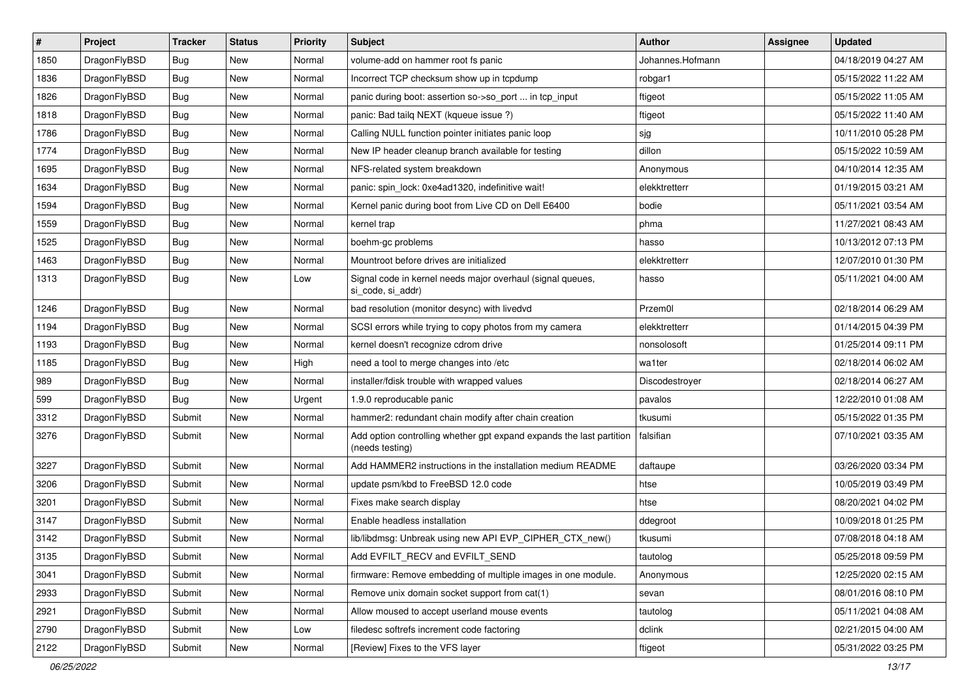| $\sharp$ | Project      | <b>Tracker</b> | <b>Status</b> | <b>Priority</b> | Subject                                                                                 | <b>Author</b>    | Assignee | <b>Updated</b>      |
|----------|--------------|----------------|---------------|-----------------|-----------------------------------------------------------------------------------------|------------------|----------|---------------------|
| 1850     | DragonFlyBSD | <b>Bug</b>     | New           | Normal          | volume-add on hammer root fs panic                                                      | Johannes.Hofmann |          | 04/18/2019 04:27 AM |
| 1836     | DragonFlyBSD | <b>Bug</b>     | <b>New</b>    | Normal          | Incorrect TCP checksum show up in tcpdump                                               | robgar1          |          | 05/15/2022 11:22 AM |
| 1826     | DragonFlyBSD | <b>Bug</b>     | <b>New</b>    | Normal          | panic during boot: assertion so->so_port  in tcp_input                                  | ftigeot          |          | 05/15/2022 11:05 AM |
| 1818     | DragonFlyBSD | <b>Bug</b>     | New           | Normal          | panic: Bad tailq NEXT (kqueue issue ?)                                                  | ftigeot          |          | 05/15/2022 11:40 AM |
| 1786     | DragonFlyBSD | <b>Bug</b>     | <b>New</b>    | Normal          | Calling NULL function pointer initiates panic loop                                      | sjg              |          | 10/11/2010 05:28 PM |
| 1774     | DragonFlyBSD | <b>Bug</b>     | New           | Normal          | New IP header cleanup branch available for testing                                      | dillon           |          | 05/15/2022 10:59 AM |
| 1695     | DragonFlyBSD | <b>Bug</b>     | New           | Normal          | NFS-related system breakdown                                                            | Anonymous        |          | 04/10/2014 12:35 AM |
| 1634     | DragonFlyBSD | <b>Bug</b>     | <b>New</b>    | Normal          | panic: spin_lock: 0xe4ad1320, indefinitive wait!                                        | elekktretterr    |          | 01/19/2015 03:21 AM |
| 1594     | DragonFlyBSD | <b>Bug</b>     | New           | Normal          | Kernel panic during boot from Live CD on Dell E6400                                     | bodie            |          | 05/11/2021 03:54 AM |
| 1559     | DragonFlyBSD | <b>Bug</b>     | <b>New</b>    | Normal          | kernel trap                                                                             | phma             |          | 11/27/2021 08:43 AM |
| 1525     | DragonFlyBSD | <b>Bug</b>     | New           | Normal          | boehm-gc problems                                                                       | hasso            |          | 10/13/2012 07:13 PM |
| 1463     | DragonFlyBSD | <b>Bug</b>     | <b>New</b>    | Normal          | Mountroot before drives are initialized                                                 | elekktretterr    |          | 12/07/2010 01:30 PM |
| 1313     | DragonFlyBSD | <b>Bug</b>     | <b>New</b>    | Low             | Signal code in kernel needs major overhaul (signal queues,<br>si_code, si_addr)         | hasso            |          | 05/11/2021 04:00 AM |
| 1246     | DragonFlyBSD | <b>Bug</b>     | New           | Normal          | bad resolution (monitor desync) with livedvd                                            | Przem0l          |          | 02/18/2014 06:29 AM |
| 1194     | DragonFlyBSD | <b>Bug</b>     | <b>New</b>    | Normal          | SCSI errors while trying to copy photos from my camera                                  | elekktretterr    |          | 01/14/2015 04:39 PM |
| 1193     | DragonFlyBSD | <b>Bug</b>     | New           | Normal          | kernel doesn't recognize cdrom drive                                                    | nonsolosoft      |          | 01/25/2014 09:11 PM |
| 1185     | DragonFlyBSD | <b>Bug</b>     | <b>New</b>    | High            | need a tool to merge changes into /etc                                                  | wa1ter           |          | 02/18/2014 06:02 AM |
| 989      | DragonFlyBSD | <b>Bug</b>     | New           | Normal          | installer/fdisk trouble with wrapped values                                             | Discodestroyer   |          | 02/18/2014 06:27 AM |
| 599      | DragonFlyBSD | <b>Bug</b>     | <b>New</b>    | Urgent          | 1.9.0 reproducable panic                                                                | pavalos          |          | 12/22/2010 01:08 AM |
| 3312     | DragonFlyBSD | Submit         | New           | Normal          | hammer2: redundant chain modify after chain creation                                    | tkusumi          |          | 05/15/2022 01:35 PM |
| 3276     | DragonFlyBSD | Submit         | <b>New</b>    | Normal          | Add option controlling whether gpt expand expands the last partition<br>(needs testing) | falsifian        |          | 07/10/2021 03:35 AM |
| 3227     | DragonFlyBSD | Submit         | <b>New</b>    | Normal          | Add HAMMER2 instructions in the installation medium README                              | daftaupe         |          | 03/26/2020 03:34 PM |
| 3206     | DragonFlyBSD | Submit         | <b>New</b>    | Normal          | update psm/kbd to FreeBSD 12.0 code                                                     | htse             |          | 10/05/2019 03:49 PM |
| 3201     | DragonFlyBSD | Submit         | New           | Normal          | Fixes make search display                                                               | htse             |          | 08/20/2021 04:02 PM |
| 3147     | DragonFlyBSD | Submit         | <b>New</b>    | Normal          | Enable headless installation                                                            | ddegroot         |          | 10/09/2018 01:25 PM |
| 3142     | DragonFlyBSD | Submit         | New           | Normal          | lib/libdmsg: Unbreak using new API EVP_CIPHER_CTX_new()                                 | tkusumi          |          | 07/08/2018 04:18 AM |
| 3135     | DragonFlyBSD | Submit         | New           | Normal          | Add EVFILT_RECV and EVFILT_SEND                                                         | tautolog         |          | 05/25/2018 09:59 PM |
| 3041     | DragonFlyBSD | Submit         | <b>New</b>    | Normal          | firmware: Remove embedding of multiple images in one module.                            | Anonymous        |          | 12/25/2020 02:15 AM |
| 2933     | DragonFlyBSD | Submit         | New           | Normal          | Remove unix domain socket support from cat(1)                                           | sevan            |          | 08/01/2016 08:10 PM |
| 2921     | DragonFlyBSD | Submit         | New           | Normal          | Allow moused to accept userland mouse events                                            | tautolog         |          | 05/11/2021 04:08 AM |
| 2790     | DragonFlyBSD | Submit         | New           | Low             | filedesc softrefs increment code factoring                                              | dclink           |          | 02/21/2015 04:00 AM |
| 2122     | DragonFlyBSD | Submit         | New           | Normal          | [Review] Fixes to the VFS layer                                                         | ftigeot          |          | 05/31/2022 03:25 PM |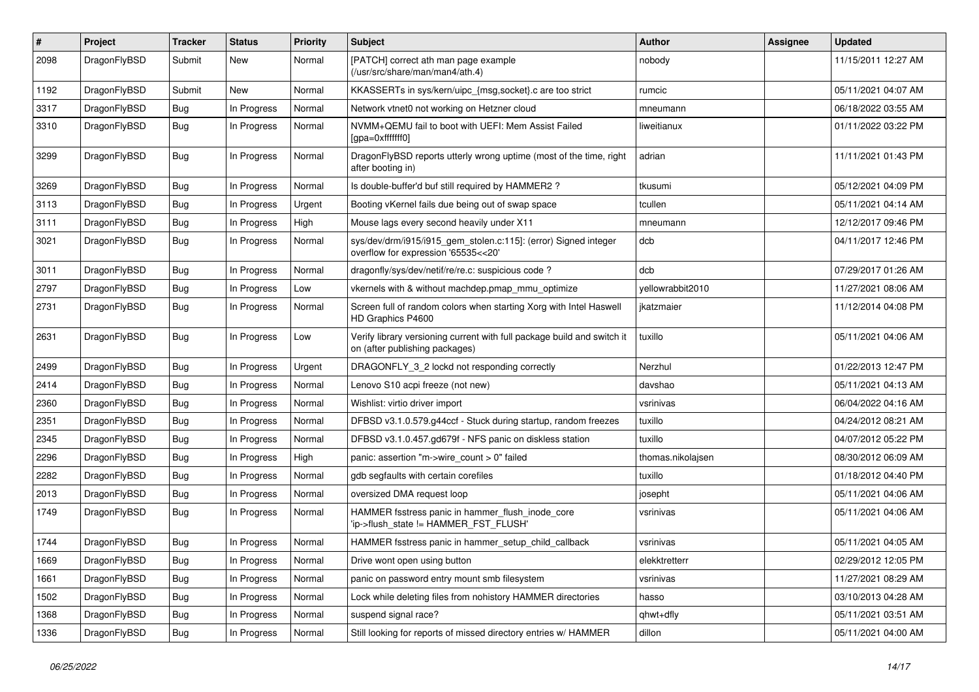| #    | Project      | <b>Tracker</b> | <b>Status</b> | <b>Priority</b> | Subject                                                                                                   | Author            | <b>Assignee</b> | <b>Updated</b>      |
|------|--------------|----------------|---------------|-----------------|-----------------------------------------------------------------------------------------------------------|-------------------|-----------------|---------------------|
| 2098 | DragonFlyBSD | Submit         | New           | Normal          | [PATCH] correct ath man page example<br>(/usr/src/share/man/man4/ath.4)                                   | nobody            |                 | 11/15/2011 12:27 AM |
| 1192 | DragonFlyBSD | Submit         | <b>New</b>    | Normal          | KKASSERTs in sys/kern/uipc_{msg,socket}.c are too strict                                                  | rumcic            |                 | 05/11/2021 04:07 AM |
| 3317 | DragonFlyBSD | <b>Bug</b>     | In Progress   | Normal          | Network vtnet0 not working on Hetzner cloud                                                               | mneumann          |                 | 06/18/2022 03:55 AM |
| 3310 | DragonFlyBSD | <b>Bug</b>     | In Progress   | Normal          | NVMM+QEMU fail to boot with UEFI: Mem Assist Failed<br>[gpa=0xfffffff0]                                   | liweitianux       |                 | 01/11/2022 03:22 PM |
| 3299 | DragonFlyBSD | <b>Bug</b>     | In Progress   | Normal          | DragonFlyBSD reports utterly wrong uptime (most of the time, right<br>after booting in)                   | adrian            |                 | 11/11/2021 01:43 PM |
| 3269 | DragonFlyBSD | <b>Bug</b>     | In Progress   | Normal          | Is double-buffer'd buf still required by HAMMER2 ?                                                        | tkusumi           |                 | 05/12/2021 04:09 PM |
| 3113 | DragonFlyBSD | <b>Bug</b>     | In Progress   | Urgent          | Booting vKernel fails due being out of swap space                                                         | tcullen           |                 | 05/11/2021 04:14 AM |
| 3111 | DragonFlyBSD | <b>Bug</b>     | In Progress   | High            | Mouse lags every second heavily under X11                                                                 | mneumann          |                 | 12/12/2017 09:46 PM |
| 3021 | DragonFlyBSD | <b>Bug</b>     | In Progress   | Normal          | sys/dev/drm/i915/i915_gem_stolen.c:115]: (error) Signed integer<br>overflow for expression '65535<<20'    | dcb               |                 | 04/11/2017 12:46 PM |
| 3011 | DragonFlyBSD | <b>Bug</b>     | In Progress   | Normal          | dragonfly/sys/dev/netif/re/re.c: suspicious code?                                                         | dcb               |                 | 07/29/2017 01:26 AM |
| 2797 | DragonFlyBSD | <b>Bug</b>     | In Progress   | Low             | vkernels with & without machdep.pmap_mmu_optimize                                                         | yellowrabbit2010  |                 | 11/27/2021 08:06 AM |
| 2731 | DragonFlyBSD | <b>Bug</b>     | In Progress   | Normal          | Screen full of random colors when starting Xorg with Intel Haswell<br>HD Graphics P4600                   | jkatzmaier        |                 | 11/12/2014 04:08 PM |
| 2631 | DragonFlyBSD | <b>Bug</b>     | In Progress   | Low             | Verify library versioning current with full package build and switch it<br>on (after publishing packages) | tuxillo           |                 | 05/11/2021 04:06 AM |
| 2499 | DragonFlyBSD | <b>Bug</b>     | In Progress   | Urgent          | DRAGONFLY_3_2 lockd not responding correctly                                                              | Nerzhul           |                 | 01/22/2013 12:47 PM |
| 2414 | DragonFlyBSD | <b>Bug</b>     | In Progress   | Normal          | Lenovo S10 acpi freeze (not new)                                                                          | davshao           |                 | 05/11/2021 04:13 AM |
| 2360 | DragonFlyBSD | <b>Bug</b>     | In Progress   | Normal          | Wishlist: virtio driver import                                                                            | vsrinivas         |                 | 06/04/2022 04:16 AM |
| 2351 | DragonFlyBSD | <b>Bug</b>     | In Progress   | Normal          | DFBSD v3.1.0.579.g44ccf - Stuck during startup, random freezes                                            | tuxillo           |                 | 04/24/2012 08:21 AM |
| 2345 | DragonFlyBSD | <b>Bug</b>     | In Progress   | Normal          | DFBSD v3.1.0.457.gd679f - NFS panic on diskless station                                                   | tuxillo           |                 | 04/07/2012 05:22 PM |
| 2296 | DragonFlyBSD | <b>Bug</b>     | In Progress   | High            | panic: assertion "m->wire count > 0" failed                                                               | thomas.nikolajsen |                 | 08/30/2012 06:09 AM |
| 2282 | DragonFlyBSD | <b>Bug</b>     | In Progress   | Normal          | gdb segfaults with certain corefiles                                                                      | tuxillo           |                 | 01/18/2012 04:40 PM |
| 2013 | DragonFlyBSD | <b>Bug</b>     | In Progress   | Normal          | oversized DMA request loop                                                                                | josepht           |                 | 05/11/2021 04:06 AM |
| 1749 | DragonFlyBSD | <b>Bug</b>     | In Progress   | Normal          | HAMMER fsstress panic in hammer_flush_inode_core<br>'ip->flush_state != HAMMER_FST_FLUSH'                 | vsrinivas         |                 | 05/11/2021 04:06 AM |
| 1744 | DragonFlyBSD | <b>Bug</b>     | In Progress   | Normal          | HAMMER fsstress panic in hammer setup child callback                                                      | vsrinivas         |                 | 05/11/2021 04:05 AM |
| 1669 | DragonFlyBSD | <b>Bug</b>     | In Progress   | Normal          | Drive wont open using button                                                                              | elekktretterr     |                 | 02/29/2012 12:05 PM |
| 1661 | DragonFlyBSD | <b>Bug</b>     | In Progress   | Normal          | panic on password entry mount smb filesystem                                                              | vsrinivas         |                 | 11/27/2021 08:29 AM |
| 1502 | DragonFlyBSD | <b>Bug</b>     | In Progress   | Normal          | Lock while deleting files from nohistory HAMMER directories                                               | hasso             |                 | 03/10/2013 04:28 AM |
| 1368 | DragonFlyBSD | <b>Bug</b>     | In Progress   | Normal          | suspend signal race?                                                                                      | qhwt+dfly         |                 | 05/11/2021 03:51 AM |
| 1336 | DragonFlyBSD | <b>Bug</b>     | In Progress   | Normal          | Still looking for reports of missed directory entries w/ HAMMER                                           | dillon            |                 | 05/11/2021 04:00 AM |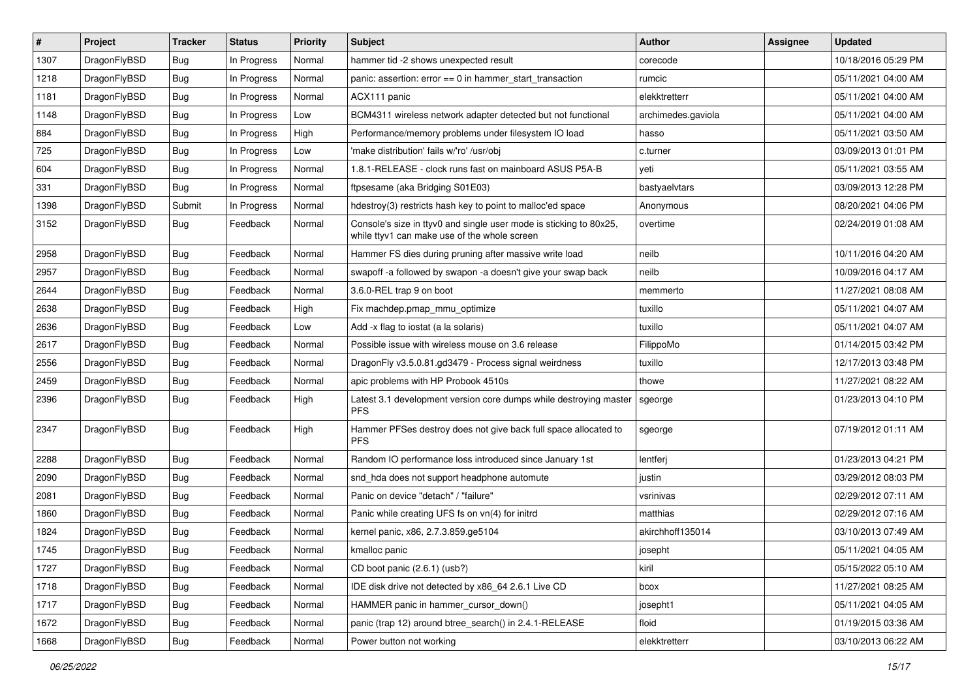| $\vert$ # | Project      | <b>Tracker</b> | <b>Status</b> | <b>Priority</b> | Subject                                                                                                            | Author             | Assignee | <b>Updated</b>      |
|-----------|--------------|----------------|---------------|-----------------|--------------------------------------------------------------------------------------------------------------------|--------------------|----------|---------------------|
| 1307      | DragonFlyBSD | Bug            | In Progress   | Normal          | hammer tid -2 shows unexpected result                                                                              | corecode           |          | 10/18/2016 05:29 PM |
| 1218      | DragonFlyBSD | <b>Bug</b>     | In Progress   | Normal          | panic: assertion: $error == 0$ in hammer start transaction                                                         | rumcic             |          | 05/11/2021 04:00 AM |
| 1181      | DragonFlyBSD | <b>Bug</b>     | In Progress   | Normal          | ACX111 panic                                                                                                       | elekktretterr      |          | 05/11/2021 04:00 AM |
| 1148      | DragonFlyBSD | <b>Bug</b>     | In Progress   | Low             | BCM4311 wireless network adapter detected but not functional                                                       | archimedes.gaviola |          | 05/11/2021 04:00 AM |
| 884       | DragonFlyBSD | <b>Bug</b>     | In Progress   | High            | Performance/memory problems under filesystem IO load                                                               | hasso              |          | 05/11/2021 03:50 AM |
| 725       | DragonFlyBSD | <b>Bug</b>     | In Progress   | Low             | 'make distribution' fails w/'ro' /usr/obi                                                                          | c.turner           |          | 03/09/2013 01:01 PM |
| 604       | DragonFlyBSD | <b>Bug</b>     | In Progress   | Normal          | 1.8.1-RELEASE - clock runs fast on mainboard ASUS P5A-B                                                            | yeti               |          | 05/11/2021 03:55 AM |
| 331       | DragonFlyBSD | <b>Bug</b>     | In Progress   | Normal          | ftpsesame (aka Bridging S01E03)                                                                                    | bastyaelvtars      |          | 03/09/2013 12:28 PM |
| 1398      | DragonFlyBSD | Submit         | In Progress   | Normal          | hdestroy(3) restricts hash key to point to malloc'ed space                                                         | Anonymous          |          | 08/20/2021 04:06 PM |
| 3152      | DragonFlyBSD | <b>Bug</b>     | Feedback      | Normal          | Console's size in ttyv0 and single user mode is sticking to 80x25,<br>while ttyv1 can make use of the whole screen | overtime           |          | 02/24/2019 01:08 AM |
| 2958      | DragonFlyBSD | <b>Bug</b>     | Feedback      | Normal          | Hammer FS dies during pruning after massive write load                                                             | neilb              |          | 10/11/2016 04:20 AM |
| 2957      | DragonFlyBSD | <b>Bug</b>     | Feedback      | Normal          | swapoff -a followed by swapon -a doesn't give your swap back                                                       | neilb              |          | 10/09/2016 04:17 AM |
| 2644      | DragonFlyBSD | <b>Bug</b>     | Feedback      | Normal          | 3.6.0-REL trap 9 on boot                                                                                           | memmerto           |          | 11/27/2021 08:08 AM |
| 2638      | DragonFlyBSD | <b>Bug</b>     | Feedback      | High            | Fix machdep.pmap_mmu_optimize                                                                                      | tuxillo            |          | 05/11/2021 04:07 AM |
| 2636      | DragonFlyBSD | Bug            | Feedback      | Low             | Add -x flag to iostat (a la solaris)                                                                               | tuxillo            |          | 05/11/2021 04:07 AM |
| 2617      | DragonFlyBSD | Bug            | Feedback      | Normal          | Possible issue with wireless mouse on 3.6 release                                                                  | FilippoMo          |          | 01/14/2015 03:42 PM |
| 2556      | DragonFlyBSD | Bug            | Feedback      | Normal          | DragonFly v3.5.0.81.gd3479 - Process signal weirdness                                                              | tuxillo            |          | 12/17/2013 03:48 PM |
| 2459      | DragonFlyBSD | Bug            | Feedback      | Normal          | apic problems with HP Probook 4510s                                                                                | thowe              |          | 11/27/2021 08:22 AM |
| 2396      | DragonFlyBSD | Bug            | Feedback      | High            | Latest 3.1 development version core dumps while destroying master<br><b>PFS</b>                                    | sgeorge            |          | 01/23/2013 04:10 PM |
| 2347      | DragonFlyBSD | Bug            | Feedback      | High            | Hammer PFSes destroy does not give back full space allocated to<br><b>PFS</b>                                      | sgeorge            |          | 07/19/2012 01:11 AM |
| 2288      | DragonFlyBSD | Bug            | Feedback      | Normal          | Random IO performance loss introduced since January 1st                                                            | lentferj           |          | 01/23/2013 04:21 PM |
| 2090      | DragonFlyBSD | Bug            | Feedback      | Normal          | snd_hda does not support headphone automute                                                                        | justin             |          | 03/29/2012 08:03 PM |
| 2081      | DragonFlyBSD | Bug            | Feedback      | Normal          | Panic on device "detach" / "failure"                                                                               | vsrinivas          |          | 02/29/2012 07:11 AM |
| 1860      | DragonFlyBSD | Bug            | Feedback      | Normal          | Panic while creating UFS fs on vn(4) for initrd                                                                    | matthias           |          | 02/29/2012 07:16 AM |
| 1824      | DragonFlyBSD | Bug            | Feedback      | Normal          | kernel panic, x86, 2.7.3.859.ge5104                                                                                | akirchhoff135014   |          | 03/10/2013 07:49 AM |
| 1745      | DragonFlyBSD | Bug            | Feedback      | Normal          | kmalloc panic                                                                                                      | josepht            |          | 05/11/2021 04:05 AM |
| 1727      | DragonFlyBSD | <b>Bug</b>     | Feedback      | Normal          | CD boot panic (2.6.1) (usb?)                                                                                       | kiril              |          | 05/15/2022 05:10 AM |
| 1718      | DragonFlyBSD | Bug            | Feedback      | Normal          | IDE disk drive not detected by x86_64 2.6.1 Live CD                                                                | bcox               |          | 11/27/2021 08:25 AM |
| 1717      | DragonFlyBSD | Bug            | Feedback      | Normal          | HAMMER panic in hammer_cursor_down()                                                                               | josepht1           |          | 05/11/2021 04:05 AM |
| 1672      | DragonFlyBSD | Bug            | Feedback      | Normal          | panic (trap 12) around btree_search() in 2.4.1-RELEASE                                                             | floid              |          | 01/19/2015 03:36 AM |
| 1668      | DragonFlyBSD | <b>Bug</b>     | Feedback      | Normal          | Power button not working                                                                                           | elekktretterr      |          | 03/10/2013 06:22 AM |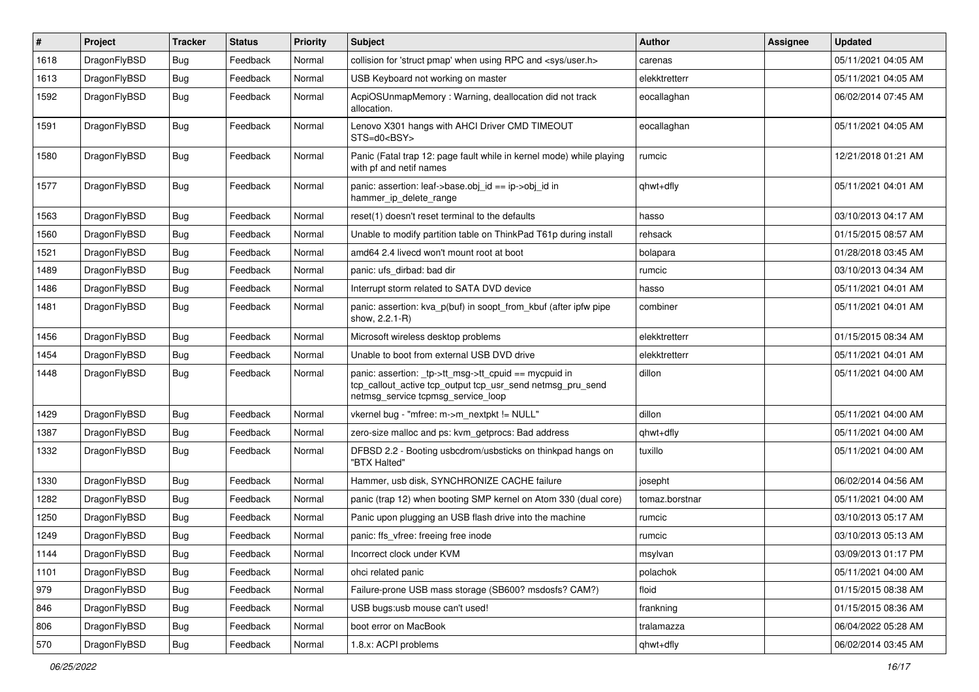| #    | Project      | <b>Tracker</b> | <b>Status</b> | <b>Priority</b> | Subject                                                                                                                                                   | Author         | <b>Assignee</b> | <b>Updated</b>      |
|------|--------------|----------------|---------------|-----------------|-----------------------------------------------------------------------------------------------------------------------------------------------------------|----------------|-----------------|---------------------|
| 1618 | DragonFlyBSD | Bug            | Feedback      | Normal          | collision for 'struct pmap' when using RPC and <sys user.h=""></sys>                                                                                      | carenas        |                 | 05/11/2021 04:05 AM |
| 1613 | DragonFlyBSD | Bug            | Feedback      | Normal          | USB Keyboard not working on master                                                                                                                        | elekktretterr  |                 | 05/11/2021 04:05 AM |
| 1592 | DragonFlyBSD | <b>Bug</b>     | Feedback      | Normal          | AcpiOSUnmapMemory: Warning, deallocation did not track<br>allocation.                                                                                     | eocallaghan    |                 | 06/02/2014 07:45 AM |
| 1591 | DragonFlyBSD | <b>Bug</b>     | Feedback      | Normal          | Lenovo X301 hangs with AHCI Driver CMD TIMEOUT<br>STS=d0 <bsy></bsy>                                                                                      | eocallaghan    |                 | 05/11/2021 04:05 AM |
| 1580 | DragonFlyBSD | <b>Bug</b>     | Feedback      | Normal          | Panic (Fatal trap 12: page fault while in kernel mode) while playing<br>with pf and netif names                                                           | rumcic         |                 | 12/21/2018 01:21 AM |
| 1577 | DragonFlyBSD | <b>Bug</b>     | Feedback      | Normal          | panic: assertion: leaf->base.obj_id == ip->obj_id in<br>hammer ip delete range                                                                            | qhwt+dfly      |                 | 05/11/2021 04:01 AM |
| 1563 | DragonFlyBSD | <b>Bug</b>     | Feedback      | Normal          | reset(1) doesn't reset terminal to the defaults                                                                                                           | hasso          |                 | 03/10/2013 04:17 AM |
| 1560 | DragonFlyBSD | <b>Bug</b>     | Feedback      | Normal          | Unable to modify partition table on ThinkPad T61p during install                                                                                          | rehsack        |                 | 01/15/2015 08:57 AM |
| 1521 | DragonFlyBSD | <b>Bug</b>     | Feedback      | Normal          | amd64 2.4 livecd won't mount root at boot                                                                                                                 | bolapara       |                 | 01/28/2018 03:45 AM |
| 1489 | DragonFlyBSD | <b>Bug</b>     | Feedback      | Normal          | panic: ufs dirbad: bad dir                                                                                                                                | rumcic         |                 | 03/10/2013 04:34 AM |
| 1486 | DragonFlyBSD | <b>Bug</b>     | Feedback      | Normal          | Interrupt storm related to SATA DVD device                                                                                                                | hasso          |                 | 05/11/2021 04:01 AM |
| 1481 | DragonFlyBSD | <b>Bug</b>     | Feedback      | Normal          | panic: assertion: kva p(buf) in soopt from kbuf (after ipfw pipe<br>show, 2.2.1-R)                                                                        | combiner       |                 | 05/11/2021 04:01 AM |
| 1456 | DragonFlyBSD | <b>Bug</b>     | Feedback      | Normal          | Microsoft wireless desktop problems                                                                                                                       | elekktretterr  |                 | 01/15/2015 08:34 AM |
| 1454 | DragonFlyBSD | <b>Bug</b>     | Feedback      | Normal          | Unable to boot from external USB DVD drive                                                                                                                | elekktretterr  |                 | 05/11/2021 04:01 AM |
| 1448 | DragonFlyBSD | <b>Bug</b>     | Feedback      | Normal          | panic: assertion: _tp->tt_msg->tt_cpuid == mycpuid in<br>tcp_callout_active tcp_output tcp_usr_send netmsg_pru_send<br>netmsg service tcpmsg service loop | dillon         |                 | 05/11/2021 04:00 AM |
| 1429 | DragonFlyBSD | <b>Bug</b>     | Feedback      | Normal          | vkernel bug - "mfree: m->m_nextpkt != NULL"                                                                                                               | dillon         |                 | 05/11/2021 04:00 AM |
| 1387 | DragonFlyBSD | <b>Bug</b>     | Feedback      | Normal          | zero-size malloc and ps: kvm_getprocs: Bad address                                                                                                        | qhwt+dfly      |                 | 05/11/2021 04:00 AM |
| 1332 | DragonFlyBSD | <b>Bug</b>     | Feedback      | Normal          | DFBSD 2.2 - Booting usbcdrom/usbsticks on thinkpad hangs on<br>"BTX Halted"                                                                               | tuxillo        |                 | 05/11/2021 04:00 AM |
| 1330 | DragonFlyBSD | <b>Bug</b>     | Feedback      | Normal          | Hammer, usb disk, SYNCHRONIZE CACHE failure                                                                                                               | josepht        |                 | 06/02/2014 04:56 AM |
| 1282 | DragonFlyBSD | <b>Bug</b>     | Feedback      | Normal          | panic (trap 12) when booting SMP kernel on Atom 330 (dual core)                                                                                           | tomaz.borstnar |                 | 05/11/2021 04:00 AM |
| 1250 | DragonFlyBSD | Bug            | Feedback      | Normal          | Panic upon plugging an USB flash drive into the machine                                                                                                   | rumcic         |                 | 03/10/2013 05:17 AM |
| 1249 | DragonFlyBSD | <b>Bug</b>     | Feedback      | Normal          | panic: ffs vfree: freeing free inode                                                                                                                      | rumcic         |                 | 03/10/2013 05:13 AM |
| 1144 | DragonFlyBSD | <b>Bug</b>     | Feedback      | Normal          | Incorrect clock under KVM                                                                                                                                 | msylvan        |                 | 03/09/2013 01:17 PM |
| 1101 | DragonFlyBSD | <b>Bug</b>     | Feedback      | Normal          | ohci related panic                                                                                                                                        | polachok       |                 | 05/11/2021 04:00 AM |
| 979  | DragonFlyBSD | <b>Bug</b>     | Feedback      | Normal          | Failure-prone USB mass storage (SB600? msdosfs? CAM?)                                                                                                     | floid          |                 | 01/15/2015 08:38 AM |
| 846  | DragonFlyBSD | Bug            | Feedback      | Normal          | USB bugs:usb mouse can't used!                                                                                                                            | frankning      |                 | 01/15/2015 08:36 AM |
| 806  | DragonFlyBSD | <b>Bug</b>     | Feedback      | Normal          | boot error on MacBook                                                                                                                                     | tralamazza     |                 | 06/04/2022 05:28 AM |
| 570  | DragonFlyBSD | Bug            | Feedback      | Normal          | 1.8.x: ACPI problems                                                                                                                                      | qhwt+dfly      |                 | 06/02/2014 03:45 AM |